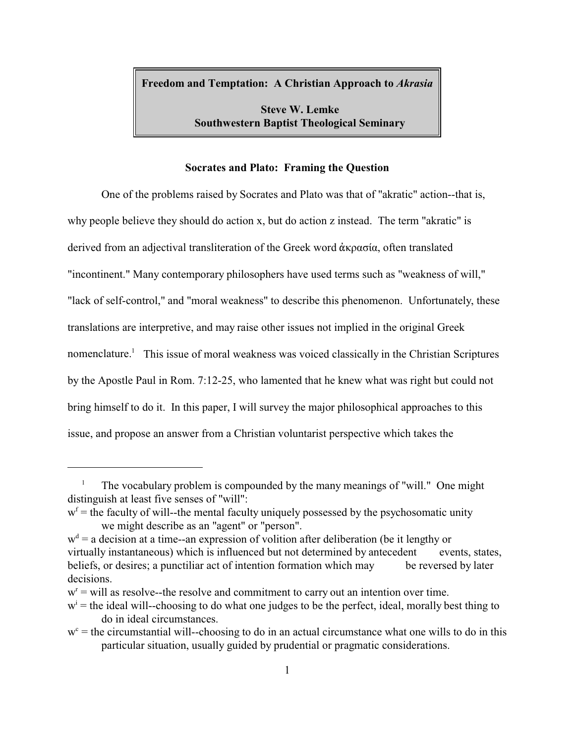**Freedom and Temptation: A Christian Approach to** *Akrasia*

**Steve W. Lemke Southwestern Baptist Theological Seminary**

### **Socrates and Plato: Framing the Question**

One of the problems raised by Socrates and Plato was that of "akratic" action--that is, why people believe they should do action x, but do action z instead. The term "akratic" is derived from an adjectival transliteration of the Greek word  $\dot{\alpha}$ κρασία, often translated "incontinent." Many contemporary philosophers have used terms such as "weakness of will," "lack of self-control," and "moral weakness" to describe this phenomenon. Unfortunately, these translations are interpretive, and may raise other issues not implied in the original Greek nomenclature.<sup>1</sup> This issue of moral weakness was voiced classically in the Christian Scriptures by the Apostle Paul in Rom. 7:12-25, who lamented that he knew what was right but could not bring himself to do it. In this paper, I will survey the major philosophical approaches to this issue, and propose an answer from a Christian voluntarist perspective which takes the

<sup>&</sup>lt;sup>1</sup> The vocabulary problem is compounded by the many meanings of "will." One might distinguish at least five senses of "will":

 $w<sup>f</sup>$  = the faculty of will--the mental faculty uniquely possessed by the psychosomatic unity we might describe as an "agent" or "person".

 $w<sup>d</sup> = a$  decision at a time--an expression of volition after deliberation (be it lengthy or virtually instantaneous) which is influenced but not determined by antecedent events, states, beliefs, or desires; a punctiliar act of intention formation which may be reversed by later decisions.

 $w<sup>r</sup> =$  will as resolve--the resolve and commitment to carry out an intention over time.

 $w<sup>i</sup>$  = the ideal will--choosing to do what one judges to be the perfect, ideal, morally best thing to do in ideal circumstances.

 $w<sup>c</sup>$  = the circumstantial will--choosing to do in an actual circumstance what one wills to do in this particular situation, usually guided by prudential or pragmatic considerations.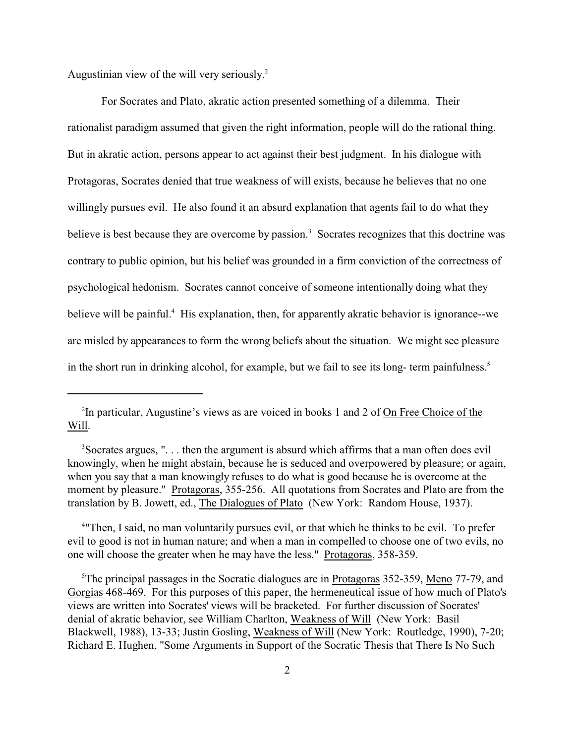Augustinian view of the will very seriously. 2

For Socrates and Plato, akratic action presented something of a dilemma. Their rationalist paradigm assumed that given the right information, people will do the rational thing. But in akratic action, persons appear to act against their best judgment. In his dialogue with Protagoras, Socrates denied that true weakness of will exists, because he believes that no one willingly pursues evil. He also found it an absurd explanation that agents fail to do what they believe is best because they are overcome by passion.<sup>3</sup> Socrates recognizes that this doctrine was contrary to public opinion, but his belief was grounded in a firm conviction of the correctness of psychological hedonism. Socrates cannot conceive of someone intentionally doing what they believe will be painful.<sup>4</sup> His explanation, then, for apparently akratic behavior is ignorance--we are misled by appearances to form the wrong beliefs about the situation. We might see pleasure in the short run in drinking alcohol, for example, but we fail to see its long- term painfulness.<sup>5</sup>

4 "Then, I said, no man voluntarily pursues evil, or that which he thinks to be evil. To prefer evil to good is not in human nature; and when a man in compelled to choose one of two evils, no one will choose the greater when he may have the less." Protagoras, 358-359.

<sup>5</sup>The principal passages in the Socratic dialogues are in Protagoras 352-359, Meno 77-79, and Gorgias 468-469. For this purposes of this paper, the hermeneutical issue of how much of Plato's views are written into Socrates' views will be bracketed. For further discussion of Socrates' denial of akratic behavior, see William Charlton, Weakness of Will (New York: Basil Blackwell, 1988), 13-33; Justin Gosling, Weakness of Will (New York: Routledge, 1990), 7-20; Richard E. Hughen, "Some Arguments in Support of the Socratic Thesis that There Is No Such

<sup>&</sup>lt;sup>2</sup>In particular, Augustine's views as are voiced in books 1 and 2 of  $\overline{On}$  Free Choice of the Will.

<sup>&</sup>lt;sup>3</sup>Socrates argues, "... then the argument is absurd which affirms that a man often does evil knowingly, when he might abstain, because he is seduced and overpowered by pleasure; or again, when you say that a man knowingly refuses to do what is good because he is overcome at the moment by pleasure." Protagoras, 355-256. All quotations from Socrates and Plato are from the translation by B. Jowett, ed., The Dialogues of Plato (New York: Random House, 1937).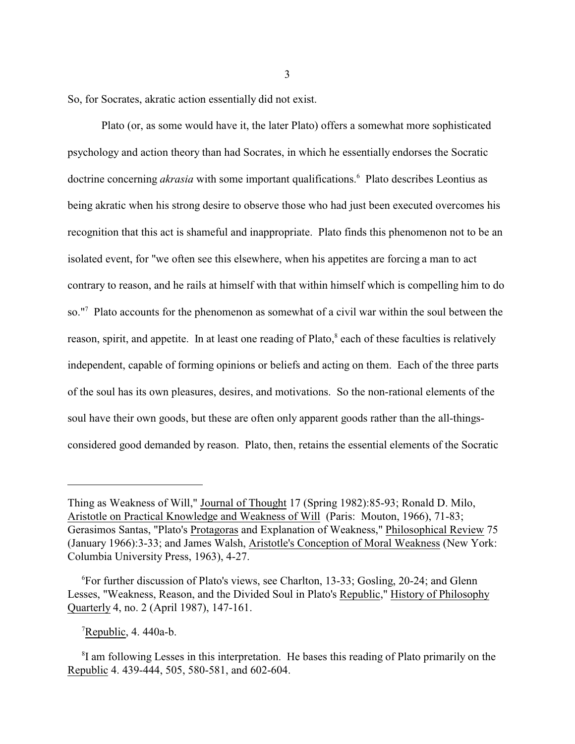So, for Socrates, akratic action essentially did not exist.

Plato (or, as some would have it, the later Plato) offers a somewhat more sophisticated psychology and action theory than had Socrates, in which he essentially endorses the Socratic doctrine concerning *akrasia* with some important qualifications.<sup>6</sup> Plato describes Leontius as being akratic when his strong desire to observe those who had just been executed overcomes his recognition that this act is shameful and inappropriate. Plato finds this phenomenon not to be an isolated event, for "we often see this elsewhere, when his appetites are forcing a man to act contrary to reason, and he rails at himself with that within himself which is compelling him to do so."<sup>7</sup> Plato accounts for the phenomenon as somewhat of a civil war within the soul between the reason, spirit, and appetite. In at least one reading of Plato,<sup>8</sup> each of these faculties is relatively independent, capable of forming opinions or beliefs and acting on them. Each of the three parts of the soul has its own pleasures, desires, and motivations. So the non-rational elements of the soul have their own goods, but these are often only apparent goods rather than the all-thingsconsidered good demanded by reason. Plato, then, retains the essential elements of the Socratic

 $\textsuperscript{7}$ Republic, 4. 440a-b.

<sup>8</sup>I am following Lesses in this interpretation. He bases this reading of Plato primarily on the Republic 4. 439-444, 505, 580-581, and 602-604.

Thing as Weakness of Will," Journal of Thought 17 (Spring 1982):85-93; Ronald D. Milo, Aristotle on Practical Knowledge and Weakness of Will (Paris: Mouton, 1966), 71-83; Gerasimos Santas, "Plato's Protagoras and Explanation of Weakness," Philosophical Review 75 (January 1966):3-33; and James Walsh, Aristotle's Conception of Moral Weakness (New York: Columbia University Press, 1963), 4-27.

<sup>6</sup>For further discussion of Plato's views, see Charlton, 13-33; Gosling, 20-24; and Glenn Lesses, "Weakness, Reason, and the Divided Soul in Plato's Republic," History of Philosophy Quarterly 4, no. 2 (April 1987), 147-161.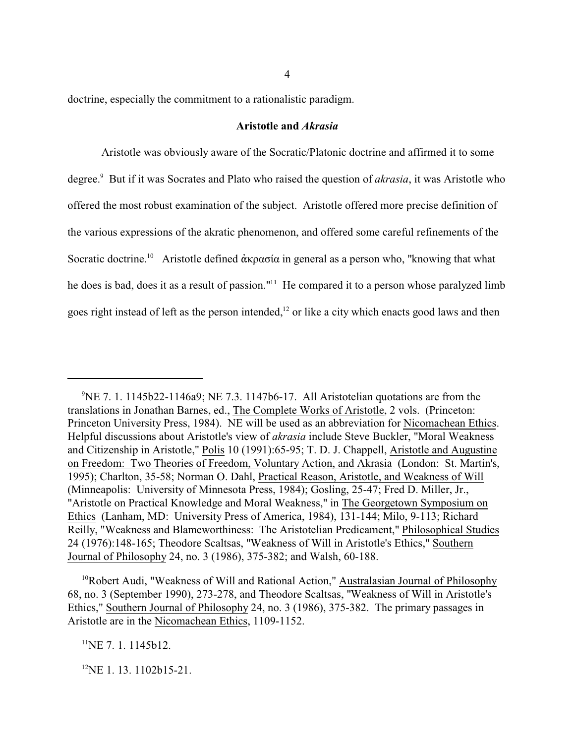doctrine, especially the commitment to a rationalistic paradigm.

### **Aristotle and** *Akrasia*

Aristotle was obviously aware of the Socratic/Platonic doctrine and affirmed it to some degree.<sup>9</sup> But if it was Socrates and Plato who raised the question of *akrasia*, it was Aristotle who offered the most robust examination of the subject. Aristotle offered more precise definition of the various expressions of the akratic phenomenon, and offered some careful refinements of the Socratic doctrine.<sup>10</sup> Aristotle defined άκρασία in general as a person who, "knowing that what he does is bad, does it as a result of passion."<sup>11</sup> He compared it to a person whose paralyzed limb goes right instead of left as the person intended,<sup>12</sup> or like a city which enacts good laws and then

 $11$ NE 7. 1. 1145b12.

 $12$ NE 1. 13. 1102b15-21.

 ${}^{9}$ NE 7. 1. 1145b22-1146a9; NE 7.3. 1147b6-17. All Aristotelian quotations are from the translations in Jonathan Barnes, ed., The Complete Works of Aristotle, 2 vols. (Princeton: Princeton University Press, 1984). NE will be used as an abbreviation for Nicomachean Ethics. Helpful discussions about Aristotle's view of *akrasia* include Steve Buckler, "Moral Weakness and Citizenship in Aristotle," Polis 10 (1991):65-95; T. D. J. Chappell, Aristotle and Augustine on Freedom: Two Theories of Freedom, Voluntary Action, and Akrasia (London: St. Martin's, 1995); Charlton, 35-58; Norman O. Dahl, Practical Reason, Aristotle, and Weakness of Will (Minneapolis: University of Minnesota Press, 1984); Gosling, 25-47; Fred D. Miller, Jr., "Aristotle on Practical Knowledge and Moral Weakness," in The Georgetown Symposium on Ethics (Lanham, MD: University Press of America, 1984), 131-144; Milo, 9-113; Richard Reilly, "Weakness and Blameworthiness: The Aristotelian Predicament," Philosophical Studies 24 (1976):148-165; Theodore Scaltsas, "Weakness of Will in Aristotle's Ethics," Southern Journal of Philosophy 24, no. 3 (1986), 375-382; and Walsh, 60-188.

<sup>&</sup>lt;sup>10</sup>Robert Audi, "Weakness of Will and Rational Action," Australasian Journal of Philosophy 68, no. 3 (September 1990), 273-278, and Theodore Scaltsas, "Weakness of Will in Aristotle's Ethics," Southern Journal of Philosophy 24, no. 3 (1986), 375-382. The primary passages in Aristotle are in the Nicomachean Ethics, 1109-1152.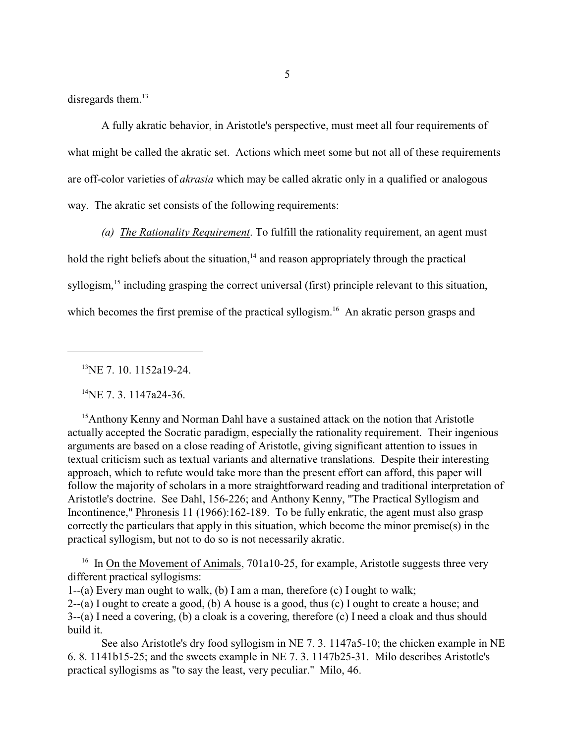disregards them.<sup>13</sup>

A fully akratic behavior, in Aristotle's perspective, must meet all four requirements of what might be called the akratic set. Actions which meet some but not all of these requirements are off-color varieties of *akrasia* which may be called akratic only in a qualified or analogous way. The akratic set consists of the following requirements:

*(a) The Rationality Requirement*. To fulfill the rationality requirement, an agent must hold the right beliefs about the situation,<sup>14</sup> and reason appropriately through the practical syllogism,<sup>15</sup> including grasping the correct universal (first) principle relevant to this situation, which becomes the first premise of the practical syllogism.<sup>16</sup> An akratic person grasps and

<sup>13</sup>NE 7, 10, 1152a19-24.

 $^{14}$ NE 7. 3. 1147a24-36.

<sup>15</sup>Anthony Kenny and Norman Dahl have a sustained attack on the notion that Aristotle actually accepted the Socratic paradigm, especially the rationality requirement. Their ingenious arguments are based on a close reading of Aristotle, giving significant attention to issues in textual criticism such as textual variants and alternative translations. Despite their interesting approach, which to refute would take more than the present effort can afford, this paper will follow the majority of scholars in a more straightforward reading and traditional interpretation of Aristotle's doctrine. See Dahl, 156-226; and Anthony Kenny, "The Practical Syllogism and Incontinence," Phronesis 11 (1966):162-189. To be fully enkratic, the agent must also grasp correctly the particulars that apply in this situation, which become the minor premise(s) in the practical syllogism, but not to do so is not necessarily akratic.

<sup>16</sup> In On the Movement of Animals, 701a10-25, for example, Aristotle suggests three very different practical syllogisms:

1--(a) Every man ought to walk, (b) I am a man, therefore (c) I ought to walk; 2--(a) I ought to create a good, (b) A house is a good, thus (c) I ought to create a house; and

3--(a) I need a covering, (b) a cloak is a covering, therefore (c) I need a cloak and thus should build it.

See also Aristotle's dry food syllogism in NE 7. 3. 1147a5-10; the chicken example in NE 6. 8. 1141b15-25; and the sweets example in NE 7. 3. 1147b25-31. Milo describes Aristotle's practical syllogisms as "to say the least, very peculiar." Milo, 46.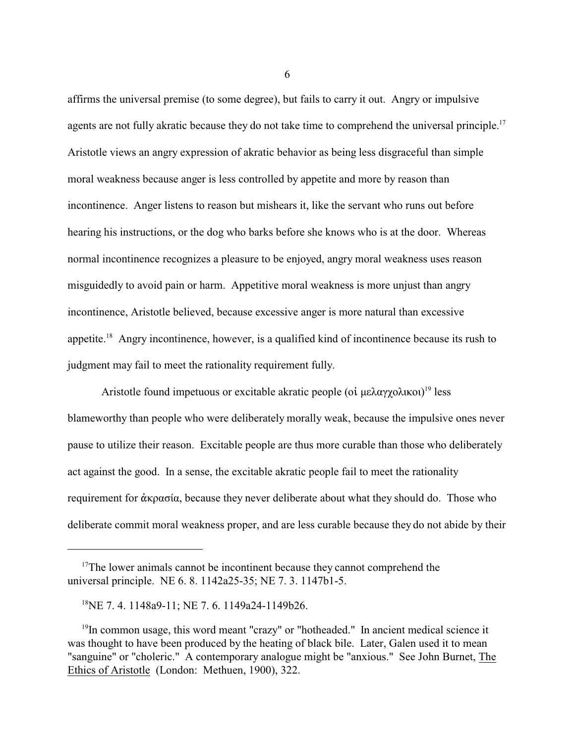affirms the universal premise (to some degree), but fails to carry it out. Angry or impulsive agents are not fully akratic because they do not take time to comprehend the universal principle.<sup>17</sup> Aristotle views an angry expression of akratic behavior as being less disgraceful than simple moral weakness because anger is less controlled by appetite and more by reason than incontinence. Anger listens to reason but mishears it, like the servant who runs out before hearing his instructions, or the dog who barks before she knows who is at the door. Whereas normal incontinence recognizes a pleasure to be enjoyed, angry moral weakness uses reason misguidedly to avoid pain or harm. Appetitive moral weakness is more unjust than angry incontinence, Aristotle believed, because excessive anger is more natural than excessive appetite.<sup>18</sup> Angry incontinence, however, is a qualified kind of incontinence because its rush to judgment may fail to meet the rationality requirement fully.

Aristotle found impetuous or excitable akratic people (oi  $\mu$ ελαγχολικοι)<sup>19</sup> less blameworthy than people who were deliberately morally weak, because the impulsive ones never pause to utilize their reason. Excitable people are thus more curable than those who deliberately act against the good. In a sense, the excitable akratic people fail to meet the rationality requirement for  $\dot{\alpha}$  kosause they never deliberate about what they should do. Those who deliberate commit moral weakness proper, and are less curable because they do not abide by their

 $17$ The lower animals cannot be incontinent because they cannot comprehend the universal principle. NE 6. 8. 1142a25-35; NE 7. 3. 1147b1-5.

<sup>18</sup>NE 7. 4. 1148a9-11; NE 7. 6. 1149a24-1149b26.

<sup>&</sup>lt;sup>19</sup>In common usage, this word meant "crazy" or "hotheaded." In ancient medical science it was thought to have been produced by the heating of black bile. Later, Galen used it to mean "sanguine" or "choleric." A contemporary analogue might be "anxious." See John Burnet, The Ethics of Aristotle (London: Methuen, 1900), 322.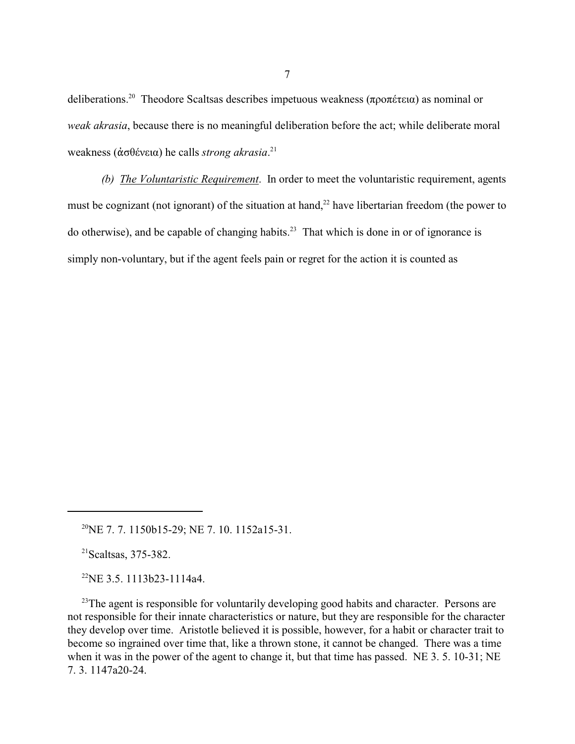deliberations.<sup>20</sup> Theodore Scaltsas describes impetuous weakness (προπέτεια) as nominal or *weak akrasia*, because there is no meaningful deliberation before the act; while deliberate moral weakness (ἀσθένεια) he calls *strong akrasia*.<sup>21</sup>

*(b) The Voluntaristic Requirement*. In order to meet the voluntaristic requirement, agents must be cognizant (not ignorant) of the situation at hand,<sup>22</sup> have libertarian freedom (the power to do otherwise), and be capable of changing habits.<sup>23</sup> That which is done in or of ignorance is simply non-voluntary, but if the agent feels pain or regret for the action it is counted as

 $^{21}$ Scaltsas, 375-382.

 $^{22}$ NE 3.5. 1113b23-1114a4.

<sup>23</sup>The agent is responsible for voluntarily developing good habits and character. Persons are not responsible for their innate characteristics or nature, but they are responsible for the character they develop over time. Aristotle believed it is possible, however, for a habit or character trait to become so ingrained over time that, like a thrown stone, it cannot be changed. There was a time when it was in the power of the agent to change it, but that time has passed. NE 3, 5, 10-31; NE 7. 3. 1147a20-24.

<sup>&</sup>lt;sup>20</sup>NE 7.7. 1150b15-29; NE 7. 10. 1152a15-31.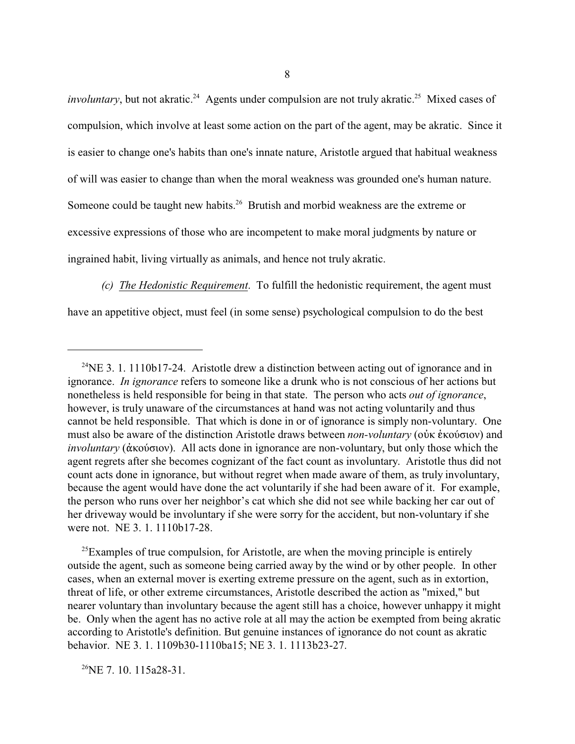*involuntary*, but not akratic.<sup>24</sup> Agents under compulsion are not truly akratic.<sup>25</sup> Mixed cases of compulsion, which involve at least some action on the part of the agent, may be akratic. Since it is easier to change one's habits than one's innate nature, Aristotle argued that habitual weakness of will was easier to change than when the moral weakness was grounded one's human nature. Someone could be taught new habits.<sup>26</sup> Brutish and morbid weakness are the extreme or excessive expressions of those who are incompetent to make moral judgments by nature or ingrained habit, living virtually as animals, and hence not truly akratic.

*(c) The Hedonistic Requirement*. To fulfill the hedonistic requirement, the agent must have an appetitive object, must feel (in some sense) psychological compulsion to do the best

 $^{25}$ Examples of true compulsion, for Aristotle, are when the moving principle is entirely outside the agent, such as someone being carried away by the wind or by other people. In other cases, when an external mover is exerting extreme pressure on the agent, such as in extortion, threat of life, or other extreme circumstances, Aristotle described the action as "mixed," but nearer voluntary than involuntary because the agent still has a choice, however unhappy it might be. Only when the agent has no active role at all may the action be exempted from being akratic according to Aristotle's definition. But genuine instances of ignorance do not count as akratic behavior. NE 3. 1. 1109b30-1110ba15; NE 3. 1. 1113b23-27.

 $^{26}$ NE 7.10.115a28-31.

<sup>&</sup>lt;sup>24</sup>NE 3. 1. 1110b17-24. Aristotle drew a distinction between acting out of ignorance and in ignorance. *In ignorance* refers to someone like a drunk who is not conscious of her actions but nonetheless is held responsible for being in that state. The person who acts *out of ignorance*, however, is truly unaware of the circumstances at hand was not acting voluntarily and thus cannot be held responsible. That which is done in or of ignorance is simply non-voluntary. One must also be aware of the distinction Aristotle draws between *non-voluntary* (οὐκ ἑκούσιον) and *involuntary* ( $\dot{\alpha}$ κούσιον). All acts done in ignorance are non-voluntary, but only those which the agent regrets after she becomes cognizant of the fact count as involuntary. Aristotle thus did not count acts done in ignorance, but without regret when made aware of them, as truly involuntary, because the agent would have done the act voluntarily if she had been aware of it. For example, the person who runs over her neighbor's cat which she did not see while backing her car out of her driveway would be involuntary if she were sorry for the accident, but non-voluntary if she were not. NE 3. 1. 1110b17-28.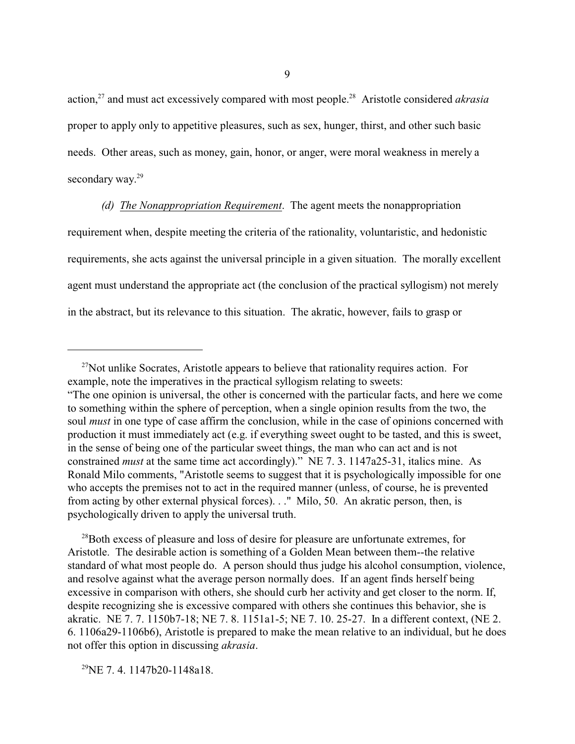action,<sup>27</sup> and must act excessively compared with most people.<sup>28</sup> Aristotle considered *akrasia* proper to apply only to appetitive pleasures, such as sex, hunger, thirst, and other such basic needs. Other areas, such as money, gain, honor, or anger, were moral weakness in merely a secondary way. 29

*(d) The Nonappropriation Requirement*. The agent meets the nonappropriation requirement when, despite meeting the criteria of the rationality, voluntaristic, and hedonistic requirements, she acts against the universal principle in a given situation. The morally excellent agent must understand the appropriate act (the conclusion of the practical syllogism) not merely in the abstract, but its relevance to this situation. The akratic, however, fails to grasp or

<sup>28</sup>Both excess of pleasure and loss of desire for pleasure are unfortunate extremes, for Aristotle. The desirable action is something of a Golden Mean between them--the relative standard of what most people do. A person should thus judge his alcohol consumption, violence, and resolve against what the average person normally does. If an agent finds herself being excessive in comparison with others, she should curb her activity and get closer to the norm. If, despite recognizing she is excessive compared with others she continues this behavior, she is akratic. NE 7. 7. 1150b7-18; NE 7. 8. 1151a1-5; NE 7. 10. 25-27. In a different context, (NE 2. 6. 1106a29-1106b6), Aristotle is prepared to make the mean relative to an individual, but he does not offer this option in discussing *akrasia*.

 $^{29}$ NE 7.4.1147b20-1148a18.

 $27$ Not unlike Socrates, Aristotle appears to believe that rationality requires action. For example, note the imperatives in the practical syllogism relating to sweets: "The one opinion is universal, the other is concerned with the particular facts, and here we come to something within the sphere of perception, when a single opinion results from the two, the soul *must* in one type of case affirm the conclusion, while in the case of opinions concerned with production it must immediately act (e.g. if everything sweet ought to be tasted, and this is sweet, in the sense of being one of the particular sweet things, the man who can act and is not constrained *must* at the same time act accordingly)." NE 7. 3. 1147a25-31, italics mine. As Ronald Milo comments, "Aristotle seems to suggest that it is psychologically impossible for one who accepts the premises not to act in the required manner (unless, of course, he is prevented from acting by other external physical forces). . ." Milo, 50. An akratic person, then, is psychologically driven to apply the universal truth.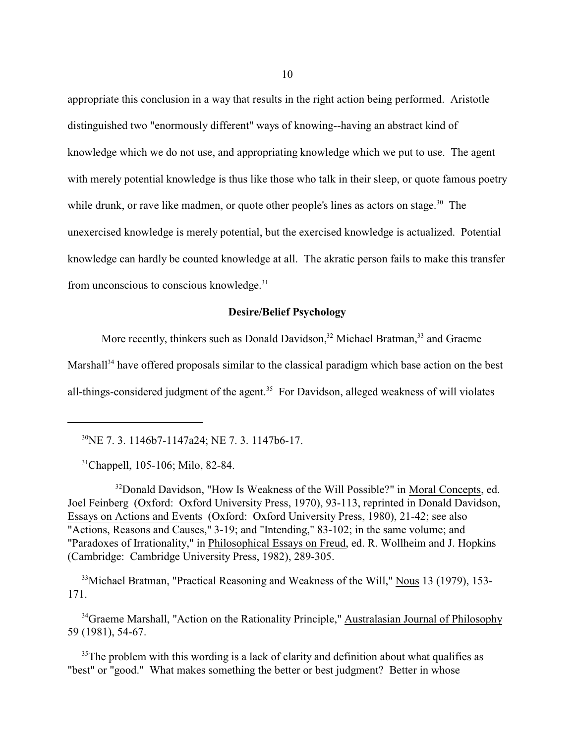appropriate this conclusion in a way that results in the right action being performed. Aristotle distinguished two "enormously different" ways of knowing--having an abstract kind of knowledge which we do not use, and appropriating knowledge which we put to use. The agent with merely potential knowledge is thus like those who talk in their sleep, or quote famous poetry while drunk, or rave like madmen, or quote other people's lines as actors on stage.<sup>30</sup> The unexercised knowledge is merely potential, but the exercised knowledge is actualized. Potential knowledge can hardly be counted knowledge at all. The akratic person fails to make this transfer from unconscious to conscious knowledge. $31$ 

## **Desire/Belief Psychology**

More recently, thinkers such as Donald Davidson,<sup>32</sup> Michael Bratman,<sup>33</sup> and Graeme Marshall<sup>34</sup> have offered proposals similar to the classical paradigm which base action on the best all-things-considered judgment of the agent.<sup>35</sup> For Davidson, alleged weakness of will violates

<sup>30</sup>NE 7. 3. 1146b7-1147a24; NE 7. 3. 1147b6-17.

<sup>31</sup>Chappell, 105-106; Milo, 82-84.

<sup>32</sup>Donald Davidson, "How Is Weakness of the Will Possible?" in Moral Concepts, ed. Joel Feinberg (Oxford: Oxford University Press, 1970), 93-113, reprinted in Donald Davidson, Essays on Actions and Events (Oxford: Oxford University Press, 1980), 21-42; see also "Actions, Reasons and Causes," 3-19; and "Intending," 83-102; in the same volume; and "Paradoxes of Irrationality," in Philosophical Essays on Freud, ed. R. Wollheim and J. Hopkins (Cambridge: Cambridge University Press, 1982), 289-305.

<sup>33</sup>Michael Bratman, "Practical Reasoning and Weakness of the Will," Nous 13 (1979), 153-171.

<sup>34</sup>Graeme Marshall, "Action on the Rationality Principle," Australasian Journal of Philosophy 59 (1981), 54-67.

 $35$ The problem with this wording is a lack of clarity and definition about what qualifies as "best" or "good." What makes something the better or best judgment? Better in whose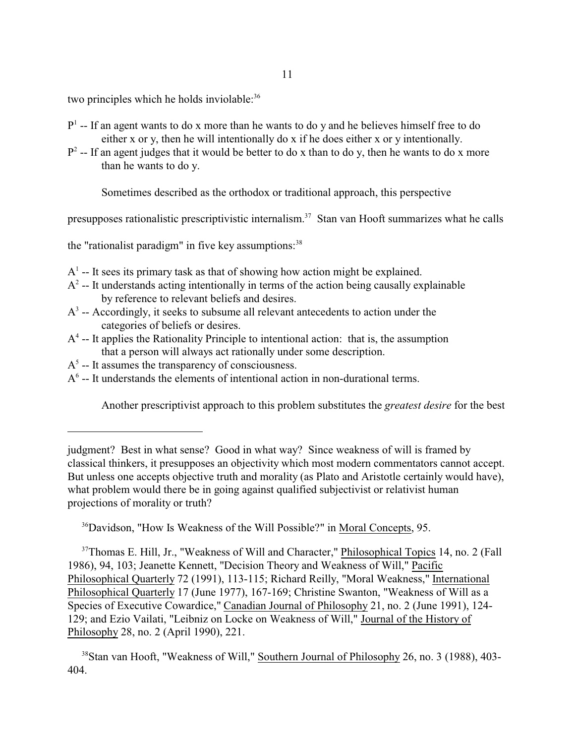two principles which he holds inviolable:<sup>36</sup>

- $P<sup>1</sup>$  -- If an agent wants to do x more than he wants to do y and he believes himself free to do either x or y, then he will intentionally do x if he does either x or y intentionally.
- $P^2$  -- If an agent judges that it would be better to do x than to do y, then he wants to do x more than he wants to do y.

Sometimes described as the orthodox or traditional approach, this perspective

presupposes rationalistic prescriptivistic internalism.<sup>37</sup> Stan van Hooft summarizes what he calls

the "rationalist paradigm" in five key assumptions:  $38$ 

- $A<sup>1</sup>$  -- It sees its primary task as that of showing how action might be explained.
- $A<sup>2</sup>$  -- It understands acting intentionally in terms of the action being causally explainable by reference to relevant beliefs and desires.
- $A<sup>3</sup>$  -- Accordingly, it seeks to subsume all relevant antecedents to action under the categories of beliefs or desires.
- $A<sup>4</sup>$  -- It applies the Rationality Principle to intentional action: that is, the assumption that a person will always act rationally under some description.
- $A<sup>5</sup>$  -- It assumes the transparency of consciousness.
- $A<sup>6</sup>$  -- It understands the elements of intentional action in non-durational terms.

Another prescriptivist approach to this problem substitutes the *greatest desire* for the best

<sup>36</sup>Davidson, "How Is Weakness of the Will Possible?" in Moral Concepts, 95.

<sup>37</sup>Thomas E. Hill, Jr., "Weakness of Will and Character," Philosophical Topics 14, no. 2 (Fall 1986), 94, 103; Jeanette Kennett, "Decision Theory and Weakness of Will," Pacific Philosophical Quarterly 72 (1991), 113-115; Richard Reilly, "Moral Weakness," International Philosophical Quarterly 17 (June 1977), 167-169; Christine Swanton, "Weakness of Will as a Species of Executive Cowardice," Canadian Journal of Philosophy 21, no. 2 (June 1991), 124- 129; and Ezio Vailati, "Leibniz on Locke on Weakness of Will," Journal of the History of Philosophy 28, no. 2 (April 1990), 221.

judgment? Best in what sense? Good in what way? Since weakness of will is framed by classical thinkers, it presupposes an objectivity which most modern commentators cannot accept. But unless one accepts objective truth and morality (as Plato and Aristotle certainly would have), what problem would there be in going against qualified subjectivist or relativist human projections of morality or truth?

<sup>38</sup>Stan van Hooft, "Weakness of Will," Southern Journal of Philosophy 26, no. 3 (1988), 403- 404.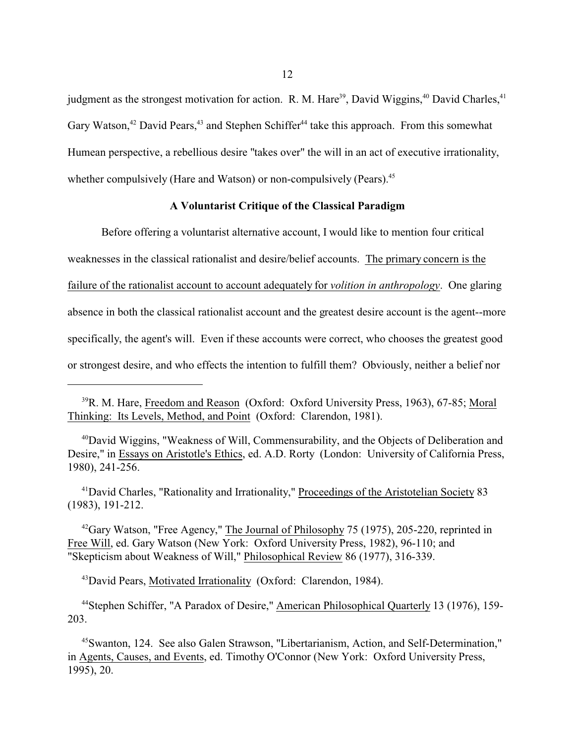judgment as the strongest motivation for action. R. M. Hare<sup>39</sup>, David Wiggins,<sup>40</sup> David Charles,<sup>41</sup> Gary Watson,<sup>42</sup> David Pears,<sup>43</sup> and Stephen Schiffer<sup>44</sup> take this approach. From this somewhat Humean perspective, a rebellious desire "takes over" the will in an act of executive irrationality, whether compulsively (Hare and Watson) or non-compulsively (Pears).<sup>45</sup>

# **A Voluntarist Critique of the Classical Paradigm**

Before offering a voluntarist alternative account, I would like to mention four critical weaknesses in the classical rationalist and desire/belief accounts. The primary concern is the failure of the rationalist account to account adequately for *volition in anthropology*. One glaring absence in both the classical rationalist account and the greatest desire account is the agent--more specifically, the agent's will. Even if these accounts were correct, who chooses the greatest good or strongest desire, and who effects the intention to fulfill them? Obviously, neither a belief nor

<sup>41</sup>David Charles, "Rationality and Irrationality," Proceedings of the Aristotelian Society 83 (1983), 191-212.

<sup>42</sup>Gary Watson, "Free Agency," The Journal of Philosophy 75 (1975), 205-220, reprinted in Free Will, ed. Gary Watson (New York: Oxford University Press, 1982), 96-110; and "Skepticism about Weakness of Will," Philosophical Review 86 (1977), 316-339.

<sup>43</sup>David Pears, Motivated Irrationality (Oxford: Clarendon, 1984).

<sup>44</sup>Stephen Schiffer, "A Paradox of Desire," American Philosophical Quarterly 13 (1976), 159- 203.

<sup>45</sup>Swanton, 124. See also Galen Strawson, "Libertarianism, Action, and Self-Determination," in Agents, Causes, and Events, ed. Timothy O'Connor (New York: Oxford University Press, 1995), 20.

<sup>&</sup>lt;sup>39</sup>R. M. Hare, Freedom and Reason (Oxford: Oxford University Press, 1963), 67-85; Moral Thinking: Its Levels, Method, and Point (Oxford: Clarendon, 1981).

<sup>40</sup>David Wiggins, "Weakness of Will, Commensurability, and the Objects of Deliberation and Desire," in Essays on Aristotle's Ethics, ed. A.D. Rorty (London: University of California Press, 1980), 241-256.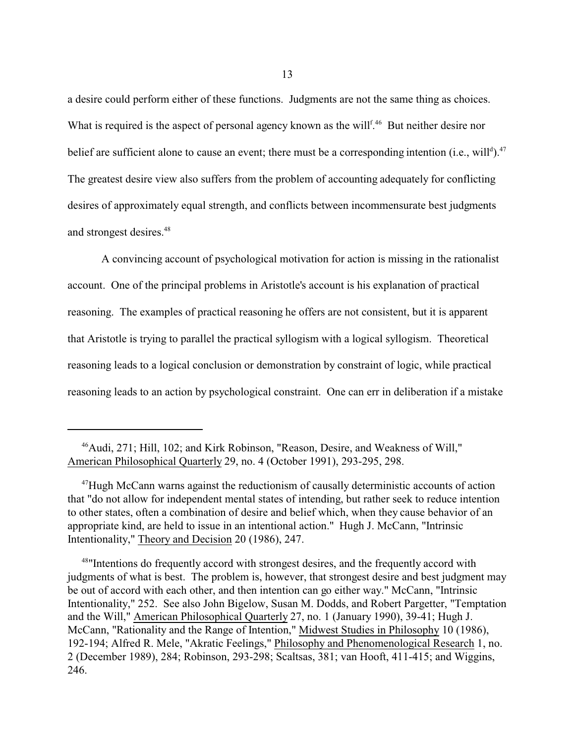a desire could perform either of these functions. Judgments are not the same thing as choices. What is required is the aspect of personal agency known as the will<sup>f 46</sup> But neither desire nor belief are sufficient alone to cause an event; there must be a corresponding intention (i.e., will<sup>d</sup>).<sup>47</sup> The greatest desire view also suffers from the problem of accounting adequately for conflicting desires of approximately equal strength, and conflicts between incommensurate best judgments and strongest desires.<sup>48</sup>

A convincing account of psychological motivation for action is missing in the rationalist account. One of the principal problems in Aristotle's account is his explanation of practical reasoning. The examples of practical reasoning he offers are not consistent, but it is apparent that Aristotle is trying to parallel the practical syllogism with a logical syllogism. Theoretical reasoning leads to a logical conclusion or demonstration by constraint of logic, while practical reasoning leads to an action by psychological constraint. One can err in deliberation if a mistake

<sup>46</sup>Audi, 271; Hill, 102; and Kirk Robinson, "Reason, Desire, and Weakness of Will," American Philosophical Quarterly 29, no. 4 (October 1991), 293-295, 298.

<sup>47</sup>Hugh McCann warns against the reductionism of causally deterministic accounts of action that "do not allow for independent mental states of intending, but rather seek to reduce intention to other states, often a combination of desire and belief which, when they cause behavior of an appropriate kind, are held to issue in an intentional action." Hugh J. McCann, "Intrinsic Intentionality," Theory and Decision 20 (1986), 247.

<sup>&</sup>lt;sup>48</sup> Intentions do frequently accord with strongest desires, and the frequently accord with judgments of what is best. The problem is, however, that strongest desire and best judgment may be out of accord with each other, and then intention can go either way." McCann, "Intrinsic Intentionality," 252. See also John Bigelow, Susan M. Dodds, and Robert Pargetter, "Temptation and the Will," American Philosophical Quarterly 27, no. 1 (January 1990), 39-41; Hugh J. McCann, "Rationality and the Range of Intention," Midwest Studies in Philosophy 10 (1986), 192-194; Alfred R. Mele, "Akratic Feelings," Philosophy and Phenomenological Research 1, no. 2 (December 1989), 284; Robinson, 293-298; Scaltsas, 381; van Hooft, 411-415; and Wiggins, 246.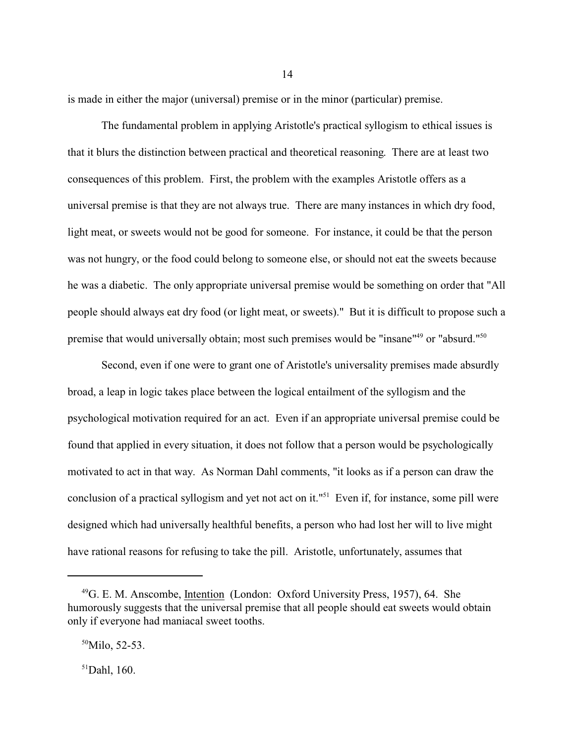is made in either the major (universal) premise or in the minor (particular) premise.

The fundamental problem in applying Aristotle's practical syllogism to ethical issues is that it blurs the distinction between practical and theoretical reasoning. There are at least two consequences of this problem. First, the problem with the examples Aristotle offers as a universal premise is that they are not always true. There are many instances in which dry food, light meat, or sweets would not be good for someone. For instance, it could be that the person was not hungry, or the food could belong to someone else, or should not eat the sweets because he was a diabetic. The only appropriate universal premise would be something on order that "All people should always eat dry food (or light meat, or sweets)." But it is difficult to propose such a premise that would universally obtain; most such premises would be "insane"<sup>49</sup> or "absurd."<sup>50</sup>

Second, even if one were to grant one of Aristotle's universality premises made absurdly broad, a leap in logic takes place between the logical entailment of the syllogism and the psychological motivation required for an act. Even if an appropriate universal premise could be found that applied in every situation, it does not follow that a person would be psychologically motivated to act in that way. As Norman Dahl comments, "it looks as if a person can draw the conclusion of a practical syllogism and yet not act on it."<sup>51</sup> Even if, for instance, some pill were designed which had universally healthful benefits, a person who had lost her will to live might have rational reasons for refusing to take the pill. Aristotle, unfortunately, assumes that

 $51$ Dahl, 160.

<sup>49</sup>G. E. M. Anscombe, Intention (London: Oxford University Press, 1957), 64. She humorously suggests that the universal premise that all people should eat sweets would obtain only if everyone had maniacal sweet tooths.

 $50$ Milo, 52-53.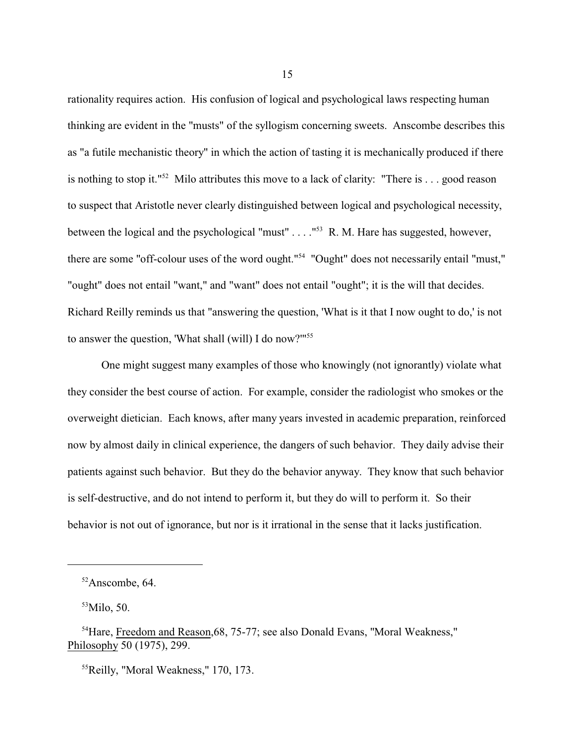rationality requires action. His confusion of logical and psychological laws respecting human thinking are evident in the "musts" of the syllogism concerning sweets. Anscombe describes this as "a futile mechanistic theory" in which the action of tasting it is mechanically produced if there is nothing to stop it."<sup>52</sup> Milo attributes this move to a lack of clarity: "There is . . . good reason to suspect that Aristotle never clearly distinguished between logical and psychological necessity, between the logical and the psychological "must" . . . . "<sup>53</sup> R. M. Hare has suggested, however, there are some "off-colour uses of the word ought."<sup>54</sup> "Ought" does not necessarily entail "must," "ought" does not entail "want," and "want" does not entail "ought"; it is the will that decides. Richard Reilly reminds us that "answering the question, 'What is it that I now ought to do,' is not to answer the question, 'What shall (will) I do now?'" 55

One might suggest many examples of those who knowingly (not ignorantly) violate what they consider the best course of action. For example, consider the radiologist who smokes or the overweight dietician. Each knows, after many years invested in academic preparation, reinforced now by almost daily in clinical experience, the dangers of such behavior. They daily advise their patients against such behavior. But they do the behavior anyway. They know that such behavior is self-destructive, and do not intend to perform it, but they do will to perform it. So their behavior is not out of ignorance, but nor is it irrational in the sense that it lacks justification.

<sup>52</sup>Anscombe, 64.

 $53$ Milo, 50.

<sup>&</sup>lt;sup>54</sup>Hare, Freedom and Reason, 68, 75-77; see also Donald Evans, "Moral Weakness," Philosophy 50 (1975), 299.

<sup>55</sup>Reilly, "Moral Weakness," 170, 173.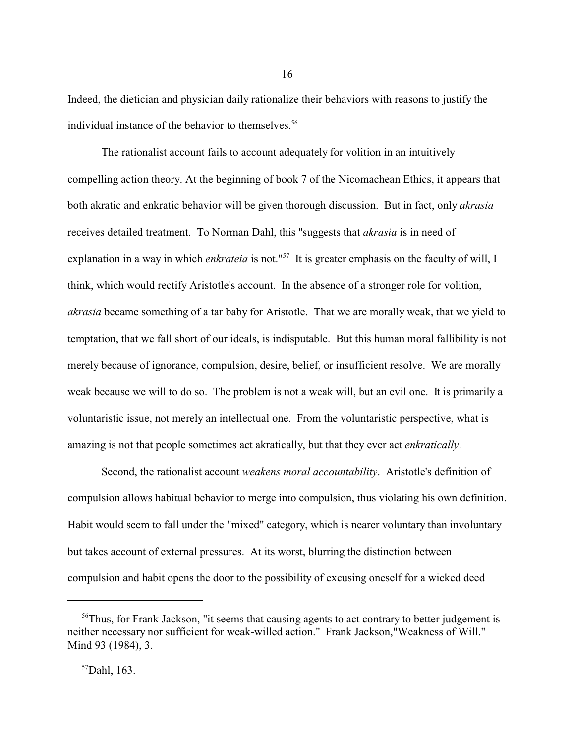Indeed, the dietician and physician daily rationalize their behaviors with reasons to justify the individual instance of the behavior to themselves.<sup>56</sup>

The rationalist account fails to account adequately for volition in an intuitively compelling action theory. At the beginning of book 7 of the Nicomachean Ethics, it appears that both akratic and enkratic behavior will be given thorough discussion. But in fact, only *akrasia* receives detailed treatment. To Norman Dahl, this "suggests that *akrasia* is in need of explanation in a way in which *enkrateia* is not."<sup>57</sup> It is greater emphasis on the faculty of will, I think, which would rectify Aristotle's account. In the absence of a stronger role for volition, *akrasia* became something of a tar baby for Aristotle. That we are morally weak, that we yield to temptation, that we fall short of our ideals, is indisputable. But this human moral fallibility is not merely because of ignorance, compulsion, desire, belief, or insufficient resolve. We are morally weak because we will to do so. The problem is not a weak will, but an evil one. It is primarily a voluntaristic issue, not merely an intellectual one. From the voluntaristic perspective, what is amazing is not that people sometimes act akratically, but that they ever act *enkratically*.

Second, the rationalist account *weakens moral accountability*. Aristotle's definition of compulsion allows habitual behavior to merge into compulsion, thus violating his own definition. Habit would seem to fall under the "mixed" category, which is nearer voluntary than involuntary but takes account of external pressures. At its worst, blurring the distinction between compulsion and habit opens the door to the possibility of excusing oneself for a wicked deed

<sup>&</sup>lt;sup>56</sup>Thus, for Frank Jackson, "it seems that causing agents to act contrary to better judgement is neither necessary nor sufficient for weak-willed action." Frank Jackson,"Weakness of Will." Mind 93 (1984), 3.

<sup>57</sup>Dahl, 163.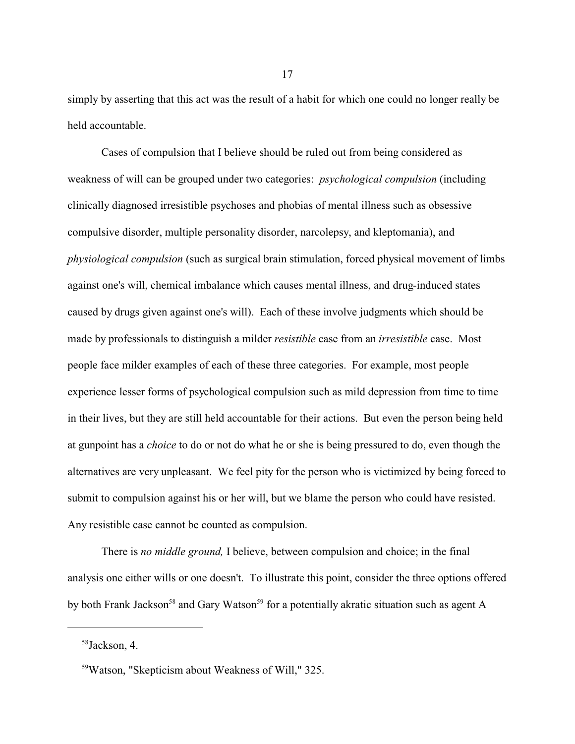simply by asserting that this act was the result of a habit for which one could no longer really be held accountable.

Cases of compulsion that I believe should be ruled out from being considered as weakness of will can be grouped under two categories: *psychological compulsion* (including clinically diagnosed irresistible psychoses and phobias of mental illness such as obsessive compulsive disorder, multiple personality disorder, narcolepsy, and kleptomania), and *physiological compulsion* (such as surgical brain stimulation, forced physical movement of limbs against one's will, chemical imbalance which causes mental illness, and drug-induced states caused by drugs given against one's will). Each of these involve judgments which should be made by professionals to distinguish a milder *resistible* case from an *irresistible* case. Most people face milder examples of each of these three categories. For example, most people experience lesser forms of psychological compulsion such as mild depression from time to time in their lives, but they are still held accountable for their actions. But even the person being held at gunpoint has a *choice* to do or not do what he or she is being pressured to do, even though the alternatives are very unpleasant. We feel pity for the person who is victimized by being forced to submit to compulsion against his or her will, but we blame the person who could have resisted. Any resistible case cannot be counted as compulsion.

There is *no middle ground,* I believe, between compulsion and choice; in the final analysis one either wills or one doesn't. To illustrate this point, consider the three options offered by both Frank Jackson<sup>58</sup> and Gary Watson<sup>59</sup> for a potentially akratic situation such as agent A

<sup>58</sup> Jackson, 4.

<sup>59</sup>Watson, "Skepticism about Weakness of Will," 325.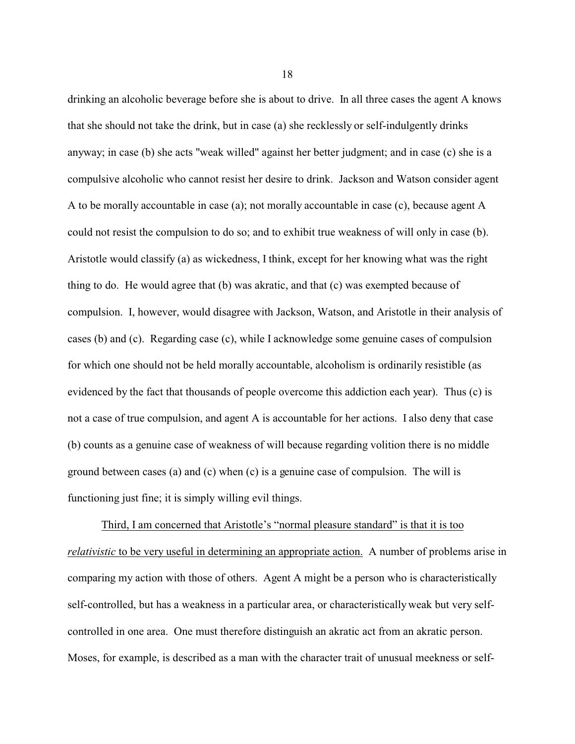drinking an alcoholic beverage before she is about to drive. In all three cases the agent A knows that she should not take the drink, but in case (a) she recklessly or self-indulgently drinks anyway; in case (b) she acts "weak willed" against her better judgment; and in case (c) she is a compulsive alcoholic who cannot resist her desire to drink. Jackson and Watson consider agent A to be morally accountable in case (a); not morally accountable in case (c), because agent A could not resist the compulsion to do so; and to exhibit true weakness of will only in case (b). Aristotle would classify (a) as wickedness, I think, except for her knowing what was the right thing to do. He would agree that (b) was akratic, and that (c) was exempted because of compulsion. I, however, would disagree with Jackson, Watson, and Aristotle in their analysis of cases (b) and (c). Regarding case (c), while I acknowledge some genuine cases of compulsion for which one should not be held morally accountable, alcoholism is ordinarily resistible (as evidenced by the fact that thousands of people overcome this addiction each year). Thus (c) is not a case of true compulsion, and agent A is accountable for her actions. I also deny that case (b) counts as a genuine case of weakness of will because regarding volition there is no middle ground between cases (a) and (c) when (c) is a genuine case of compulsion. The will is functioning just fine; it is simply willing evil things.

Third, I am concerned that Aristotle's "normal pleasure standard" is that it is too *relativistic* to be very useful in determining an appropriate action. A number of problems arise in comparing my action with those of others. Agent A might be a person who is characteristically self-controlled, but has a weakness in a particular area, or characteristically weak but very selfcontrolled in one area. One must therefore distinguish an akratic act from an akratic person. Moses, for example, is described as a man with the character trait of unusual meekness or self-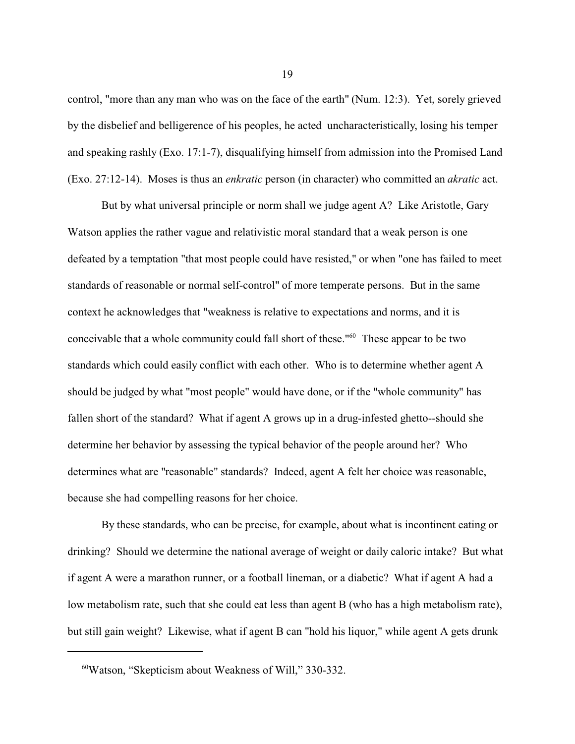control, "more than any man who was on the face of the earth" (Num. 12:3). Yet, sorely grieved by the disbelief and belligerence of his peoples, he acted uncharacteristically, losing his temper and speaking rashly (Exo. 17:1-7), disqualifying himself from admission into the Promised Land (Exo. 27:12-14). Moses is thus an *enkratic* person (in character) who committed an *akratic* act.

But by what universal principle or norm shall we judge agent A? Like Aristotle, Gary Watson applies the rather vague and relativistic moral standard that a weak person is one defeated by a temptation "that most people could have resisted," or when "one has failed to meet standards of reasonable or normal self-control" of more temperate persons. But in the same context he acknowledges that "weakness is relative to expectations and norms, and it is conceivable that a whole community could fall short of these."<sup>60</sup> These appear to be two standards which could easily conflict with each other. Who is to determine whether agent A should be judged by what "most people" would have done, or if the "whole community" has fallen short of the standard? What if agent A grows up in a drug-infested ghetto--should she determine her behavior by assessing the typical behavior of the people around her? Who determines what are "reasonable" standards? Indeed, agent A felt her choice was reasonable, because she had compelling reasons for her choice.

By these standards, who can be precise, for example, about what is incontinent eating or drinking? Should we determine the national average of weight or daily caloric intake? But what if agent A were a marathon runner, or a football lineman, or a diabetic? What if agent A had a low metabolism rate, such that she could eat less than agent B (who has a high metabolism rate), but still gain weight? Likewise, what if agent B can "hold his liquor," while agent A gets drunk

<sup>60</sup>Watson, "Skepticism about Weakness of Will," 330-332.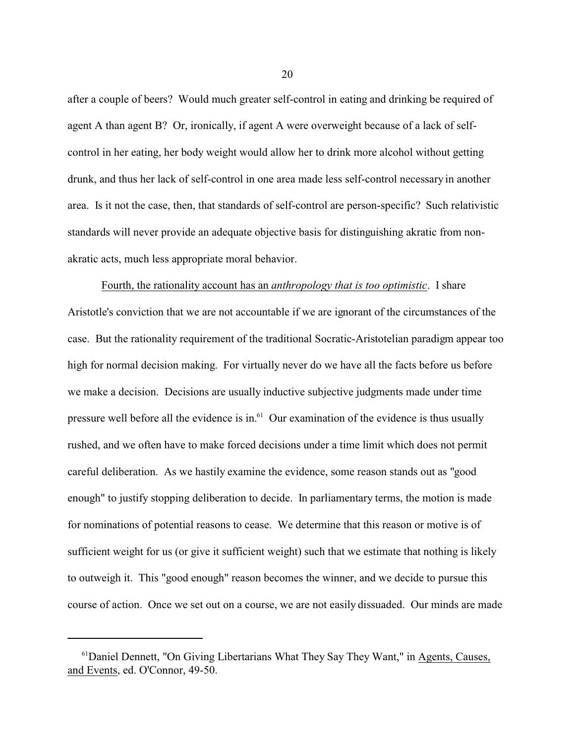after a couple of beers? Would much greater self-control in eating and drinking be required of agent A than agent B? Or, ironically, if agent A were overweight because of a lack of selfcontrol in her eating, her body weight would allow her to drink more alcohol without getting drunk, and thus her lack of self-control in one area made less self-control necessary in another area. Is it not the case, then, that standards of self-control are person-specific? Such relativistic standards will never provide an adequate objective basis for distinguishing akratic from nonakratic acts, much less appropriate moral behavior.

Fourth, the rationality account has an *anthropology that is too optimistic*. I share Aristotle's conviction that we are not accountable if we are ignorant of the circumstances of the case. But the rationality requirement of the traditional Socratic-Aristotelian paradigm appear too high for normal decision making. For virtually never do we have all the facts before us before we make a decision. Decisions are usually inductive subjective judgments made under time pressure well before all the evidence is in. $<sup>61</sup>$  Our examination of the evidence is thus usually</sup> rushed, and we often have to make forced decisions under a time limit which does not permit careful deliberation. As we hastily examine the evidence, some reason stands out as "good enough" to justify stopping deliberation to decide. In parliamentary terms, the motion is made for nominations of potential reasons to cease. We determine that this reason or motive is of sufficient weight for us (or give it sufficient weight) such that we estimate that nothing is likely to outweigh it. This "good enough" reason becomes the winner, and we decide to pursue this course of action. Once we set out on a course, we are not easily dissuaded. Our minds are made

<sup>&</sup>lt;sup>61</sup>Daniel Dennett, "On Giving Libertarians What They Say They Want," in Agents, Causes, and Events, ed. O'Connor, 49-50.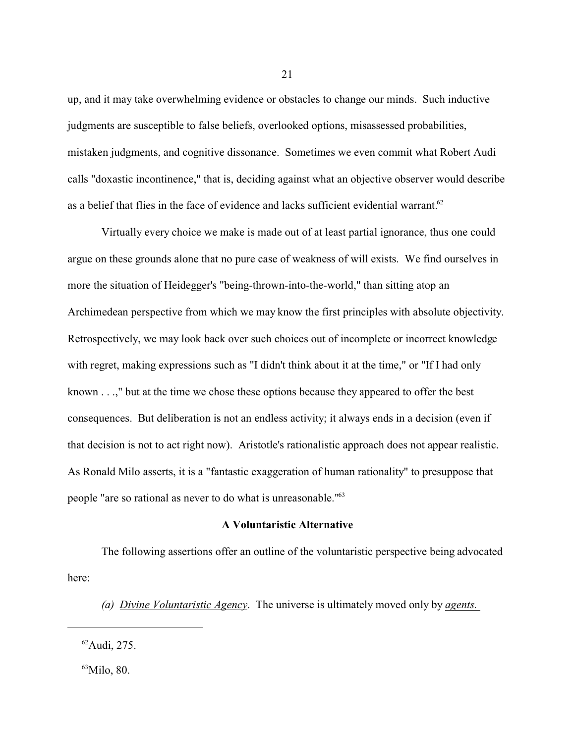up, and it may take overwhelming evidence or obstacles to change our minds. Such inductive judgments are susceptible to false beliefs, overlooked options, misassessed probabilities, mistaken judgments, and cognitive dissonance. Sometimes we even commit what Robert Audi calls "doxastic incontinence," that is, deciding against what an objective observer would describe as a belief that flies in the face of evidence and lacks sufficient evidential warrant.<sup>62</sup>

Virtually every choice we make is made out of at least partial ignorance, thus one could argue on these grounds alone that no pure case of weakness of will exists. We find ourselves in more the situation of Heidegger's "being-thrown-into-the-world," than sitting atop an Archimedean perspective from which we may know the first principles with absolute objectivity. Retrospectively, we may look back over such choices out of incomplete or incorrect knowledge with regret, making expressions such as "I didn't think about it at the time," or "If I had only known . . .," but at the time we chose these options because they appeared to offer the best consequences. But deliberation is not an endless activity; it always ends in a decision (even if that decision is not to act right now). Aristotle's rationalistic approach does not appear realistic. As Ronald Milo asserts, it is a "fantastic exaggeration of human rationality" to presuppose that people "are so rational as never to do what is unreasonable."<sup>63</sup>

### **A Voluntaristic Alternative**

The following assertions offer an outline of the voluntaristic perspective being advocated here:

*(a) Divine Voluntaristic Agency*. The universe is ultimately moved only by *agents.* 

 $^{63}$ Milo, 80.

 $62$ Audi, 275.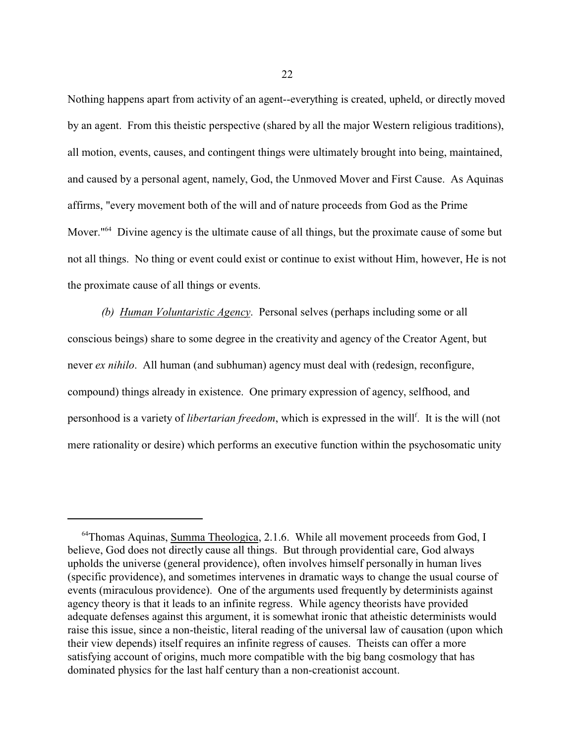Nothing happens apart from activity of an agent--everything is created, upheld, or directly moved by an agent. From this theistic perspective (shared by all the major Western religious traditions), all motion, events, causes, and contingent things were ultimately brought into being, maintained, and caused by a personal agent, namely, God, the Unmoved Mover and First Cause. As Aquinas affirms, "every movement both of the will and of nature proceeds from God as the Prime Mover.<sup>164</sup> Divine agency is the ultimate cause of all things, but the proximate cause of some but not all things. No thing or event could exist or continue to exist without Him, however, He is not the proximate cause of all things or events.

*(b) Human Voluntaristic Agency*. Personal selves (perhaps including some or all conscious beings) share to some degree in the creativity and agency of the Creator Agent, but never *ex nihilo*. All human (and subhuman) agency must deal with (redesign, reconfigure, compound) things already in existence. One primary expression of agency, selfhood, and personhood is a variety of *libertarian freedom*, which is expressed in the will<sup>f</sup>. It is the will (not mere rationality or desire) which performs an executive function within the psychosomatic unity

<sup>&</sup>lt;sup>64</sup>Thomas Aquinas, Summa Theologica, 2.1.6. While all movement proceeds from God, I believe, God does not directly cause all things. But through providential care, God always upholds the universe (general providence), often involves himself personally in human lives (specific providence), and sometimes intervenes in dramatic ways to change the usual course of events (miraculous providence). One of the arguments used frequently by determinists against agency theory is that it leads to an infinite regress. While agency theorists have provided adequate defenses against this argument, it is somewhat ironic that atheistic determinists would raise this issue, since a non-theistic, literal reading of the universal law of causation (upon which their view depends) itself requires an infinite regress of causes. Theists can offer a more satisfying account of origins, much more compatible with the big bang cosmology that has dominated physics for the last half century than a non-creationist account.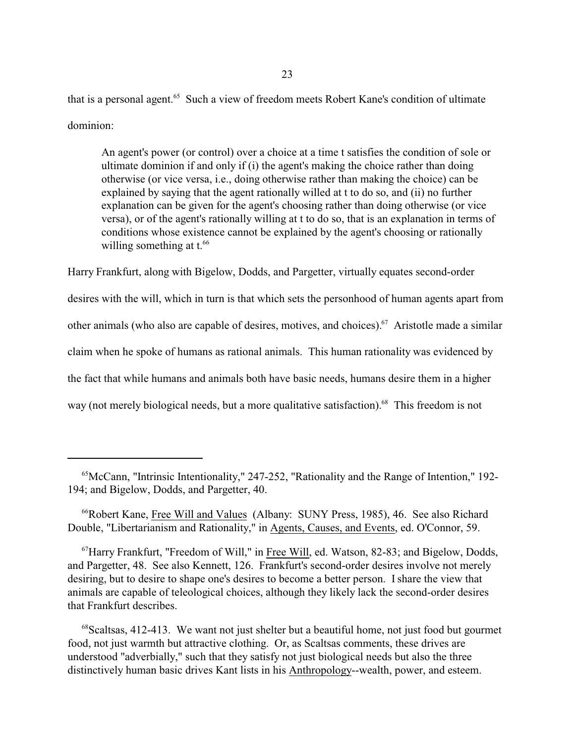that is a personal agent.<sup>65</sup> Such a view of freedom meets Robert Kane's condition of ultimate dominion:

An agent's power (or control) over a choice at a time t satisfies the condition of sole or ultimate dominion if and only if (i) the agent's making the choice rather than doing otherwise (or vice versa, i.e., doing otherwise rather than making the choice) can be explained by saying that the agent rationally willed at t to do so, and (ii) no further explanation can be given for the agent's choosing rather than doing otherwise (or vice versa), or of the agent's rationally willing at t to do so, that is an explanation in terms of conditions whose existence cannot be explained by the agent's choosing or rationally willing something at  $t.^{66}$ 

Harry Frankfurt, along with Bigelow, Dodds, and Pargetter, virtually equates second-order desires with the will, which in turn is that which sets the personhood of human agents apart from other animals (who also are capable of desires, motives, and choices).<sup>67</sup> Aristotle made a similar claim when he spoke of humans as rational animals. This human rationality was evidenced by the fact that while humans and animals both have basic needs, humans desire them in a higher way (not merely biological needs, but a more qualitative satisfaction).<sup>68</sup> This freedom is not

<sup>65</sup>McCann, "Intrinsic Intentionality," 247-252, "Rationality and the Range of Intention," 192- 194; and Bigelow, Dodds, and Pargetter, 40.

<sup>&</sup>lt;sup>66</sup>Robert Kane, Free Will and Values (Albany: SUNY Press, 1985), 46. See also Richard Double, "Libertarianism and Rationality," in Agents, Causes, and Events, ed. O'Connor, 59.

<sup>67</sup>Harry Frankfurt, "Freedom of Will," in Free Will, ed. Watson, 82-83; and Bigelow, Dodds, and Pargetter, 48. See also Kennett, 126. Frankfurt's second-order desires involve not merely desiring, but to desire to shape one's desires to become a better person. Ishare the view that animals are capable of teleological choices, although they likely lack the second-order desires that Frankfurt describes.

<sup>&</sup>lt;sup>68</sup>Scaltsas, 412-413. We want not just shelter but a beautiful home, not just food but gourmet food, not just warmth but attractive clothing. Or, as Scaltsas comments, these drives are understood "adverbially," such that they satisfy not just biological needs but also the three distinctively human basic drives Kant lists in his Anthropology--wealth, power, and esteem.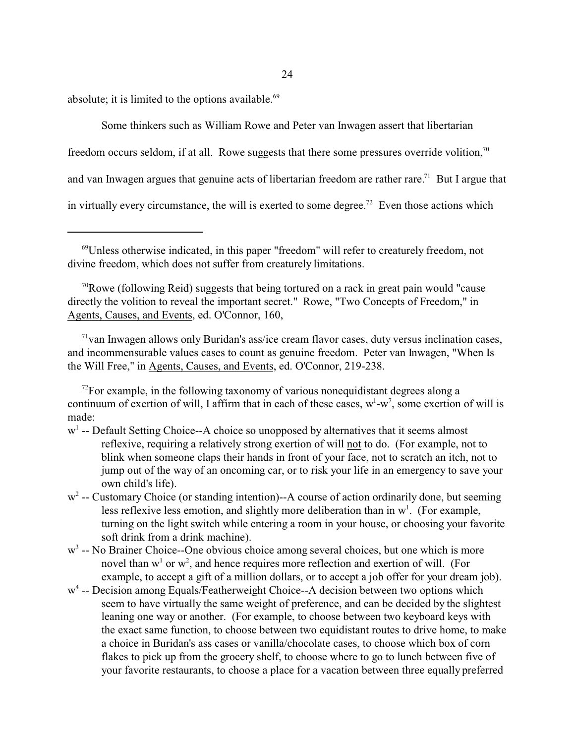absolute; it is limited to the options available.<sup>69</sup>

Some thinkers such as William Rowe and Peter van Inwagen assert that libertarian

freedom occurs seldom, if at all. Rowe suggests that there some pressures override volition, $70$ 

and van Inwagen argues that genuine acts of libertarian freedom are rather rare.<sup>71</sup> But I argue that

in virtually every circumstance, the will is exerted to some degree.<sup>72</sup> Even those actions which

<sup>71</sup> van Inwagen allows only Buridan's ass/ice cream flavor cases, duty versus inclination cases, and incommensurable values cases to count as genuine freedom. Peter van Inwagen, "When Is the Will Free," in Agents, Causes, and Events, ed. O'Connor, 219-238.

- w<sup>1</sup> -- Default Setting Choice--A choice so unopposed by alternatives that it seems almost reflexive, requiring a relatively strong exertion of will not to do. (For example, not to blink when someone claps their hands in front of your face, not to scratch an itch, not to jump out of the way of an oncoming car, or to risk your life in an emergency to save your own child's life).
- w<sup>2</sup> -- Customary Choice (or standing intention)--A course of action ordinarily done, but seeming less reflexive less emotion, and slightly more deliberation than in  $w<sup>1</sup>$ . (For example, turning on the light switch while entering a room in your house, or choosing your favorite soft drink from a drink machine).
- w<sup>3</sup> -- No Brainer Choice--One obvious choice among several choices, but one which is more novel than  $w<sup>1</sup>$  or  $w<sup>2</sup>$ , and hence requires more reflection and exertion of will. (For example, to accept a gift of a million dollars, or to accept a job offer for your dream job).
- w<sup>4</sup> -- Decision among Equals/Featherweight Choice--A decision between two options which seem to have virtually the same weight of preference, and can be decided by the slightest leaning one way or another. (For example, to choose between two keyboard keys with the exact same function, to choose between two equidistant routes to drive home, to make a choice in Buridan's ass cases or vanilla/chocolate cases, to choose which box of corn flakes to pick up from the grocery shelf, to choose where to go to lunch between five of your favorite restaurants, to choose a place for a vacation between three equally preferred

<sup>69</sup>Unless otherwise indicated, in this paper "freedom" will refer to creaturely freedom, not divine freedom, which does not suffer from creaturely limitations.

 $70$ Rowe (following Reid) suggests that being tortured on a rack in great pain would "cause" directly the volition to reveal the important secret." Rowe, "Two Concepts of Freedom," in Agents, Causes, and Events, ed. O'Connor, 160,

 $72$ For example, in the following taxonomy of various nonequidistant degrees along a continuum of exertion of will, I affirm that in each of these cases,  $w^1-w^7$ , some exertion of will is made: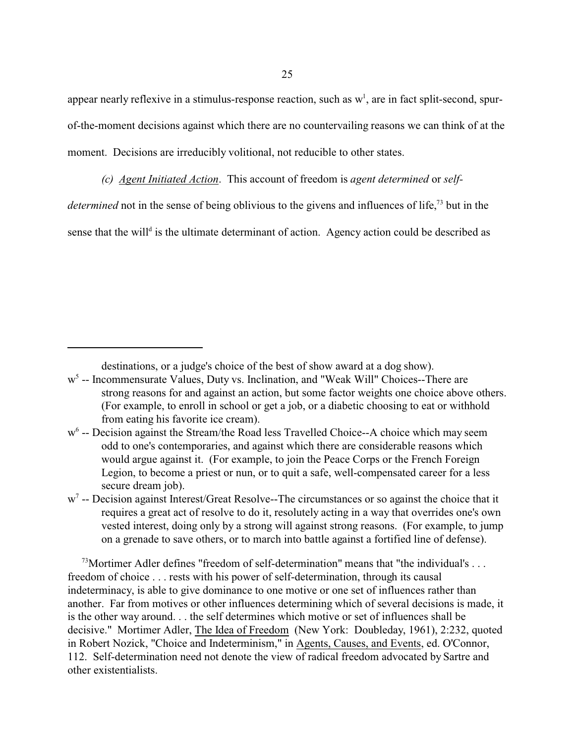appear nearly reflexive in a stimulus-response reaction, such as  $w<sup>1</sup>$ , are in fact split-second, spurof-the-moment decisions against which there are no countervailing reasons we can think of at the moment. Decisions are irreducibly volitional, not reducible to other states.

*(c) Agent Initiated Action*. This account of freedom is *agent determined* or *self-*

determined not in the sense of being oblivious to the givens and influences of life,<sup>73</sup> but in the

sense that the will<sup>d</sup> is the ultimate determinant of action. Agency action could be described as

destinations, or a judge's choice of the best of show award at a dog show).

 $w^7$  -- Decision against Interest/Great Resolve--The circumstances or so against the choice that it requires a great act of resolve to do it, resolutely acting in a way that overrides one's own vested interest, doing only by a strong will against strong reasons. (For example, to jump on a grenade to save others, or to march into battle against a fortified line of defense).

 $^{73}$ Mortimer Adler defines "freedom of self-determination" means that "the individual's ... freedom of choice . . . rests with his power of self-determination, through its causal indeterminacy, is able to give dominance to one motive or one set of influences rather than another. Far from motives or other influences determining which of several decisions is made, it is the other way around. . . the self determines which motive or set of influences shall be decisive." Mortimer Adler, The Idea of Freedom (New York: Doubleday, 1961), 2:232, quoted in Robert Nozick, "Choice and Indeterminism," in Agents, Causes, and Events, ed. O'Connor, 112. Self-determination need not denote the view of radical freedom advocated by Sartre and other existentialists.

w<sup>5</sup> -- Incommensurate Values, Duty vs. Inclination, and "Weak Will" Choices--There are strong reasons for and against an action, but some factor weights one choice above others. (For example, to enroll in school or get a job, or a diabetic choosing to eat or withhold from eating his favorite ice cream).

w<sup>6</sup> -- Decision against the Stream/the Road less Travelled Choice--A choice which may seem odd to one's contemporaries, and against which there are considerable reasons which would argue against it. (For example, to join the Peace Corps or the French Foreign Legion, to become a priest or nun, or to quit a safe, well-compensated career for a less secure dream job).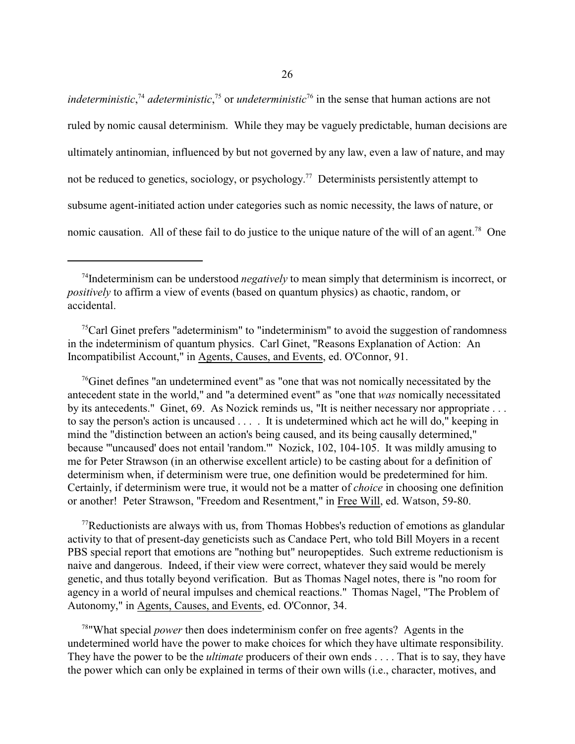*indeterministic*,<sup>74</sup> adeterministic,<sup>75</sup> or *undeterministic*<sup>76</sup> in the sense that human actions are not ruled by nomic causal determinism. While they may be vaguely predictable, human decisions are ultimately antinomian, influenced by but not governed by any law, even a law of nature, and may not be reduced to genetics, sociology, or psychology. 77 Determinists persistently attempt to subsume agent-initiated action under categories such as nomic necessity, the laws of nature, or nomic causation. All of these fail to do justice to the unique nature of the will of an agent.<sup>78</sup> One

 $<sup>75</sup>$ Carl Ginet prefers "adeterminism" to "indeterminism" to avoid the suggestion of randomness</sup> in the indeterminism of quantum physics. Carl Ginet, "Reasons Explanation of Action: An Incompatibilist Account," in Agents, Causes, and Events, ed. O'Connor, 91.

 $\frac{76}{6}$  Ginet defines "an undetermined event" as "one that was not nomically necessitated by the antecedent state in the world," and "a determined event" as "one that *was* nomically necessitated by its antecedents." Ginet, 69. As Nozick reminds us, "It is neither necessary nor appropriate ... to say the person's action is uncaused . . . . It is undetermined which act he will do," keeping in mind the "distinction between an action's being caused, and its being causally determined," because "'uncaused' does not entail 'random.'" Nozick, 102, 104-105. It was mildly amusing to me for Peter Strawson (in an otherwise excellent article) to be casting about for a definition of determinism when, if determinism were true, one definition would be predetermined for him. Certainly, if determinism were true, it would not be a matter of *choice* in choosing one definition or another! Peter Strawson, "Freedom and Resentment," in Free Will, ed. Watson, 59-80.

 $77$ Reductionists are always with us, from Thomas Hobbes's reduction of emotions as glandular activity to that of present-day geneticists such as Candace Pert, who told Bill Moyers in a recent PBS special report that emotions are "nothing but" neuropeptides. Such extreme reductionism is naive and dangerous. Indeed, if their view were correct, whatever they said would be merely genetic, and thus totally beyond verification. But as Thomas Nagel notes, there is "no room for agency in a world of neural impulses and chemical reactions." Thomas Nagel, "The Problem of Autonomy," in Agents, Causes, and Events, ed. O'Connor, 34.

78 "What special *power* then does indeterminism confer on free agents? Agents in the undetermined world have the power to make choices for which they have ultimate responsibility. They have the power to be the *ultimate* producers of their own ends . . . . That is to say, they have the power which can only be explained in terms of their own wills (i.e., character, motives, and

<sup>&</sup>lt;sup>74</sup>Indeterminism can be understood *negatively* to mean simply that determinism is incorrect, or *positively* to affirm a view of events (based on quantum physics) as chaotic, random, or accidental.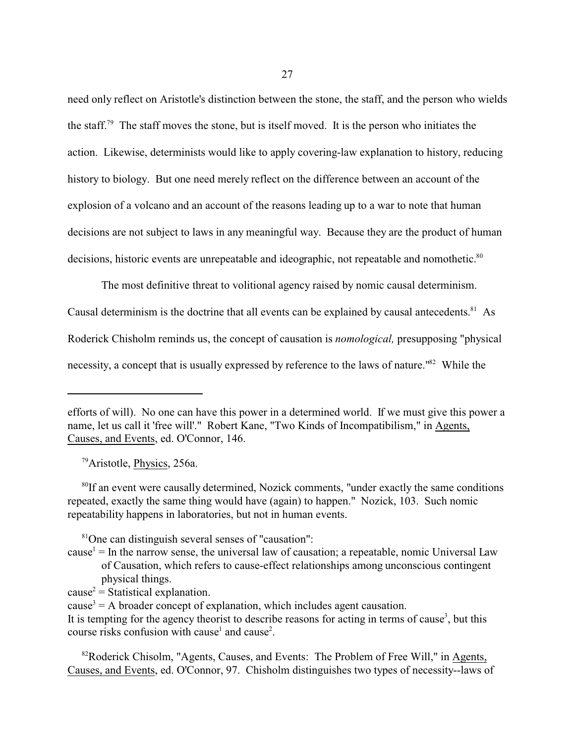need only reflect on Aristotle's distinction between the stone, the staff, and the person who wields the staff.<sup>79</sup> The staff moves the stone, but is itself moved. It is the person who initiates the action. Likewise, determinists would like to apply covering-law explanation to history, reducing history to biology. But one need merely reflect on the difference between an account of the explosion of a volcano and an account of the reasons leading up to a war to note that human decisions are not subject to laws in any meaningful way. Because they are the product of human decisions, historic events are unrepeatable and ideographic, not repeatable and nomothetic.<sup>80</sup>

The most definitive threat to volitional agency raised by nomic causal determinism. Causal determinism is the doctrine that all events can be explained by causal antecedents.<sup>81</sup> As Roderick Chisholm reminds us, the concept of causation is *nomological,* presupposing "physical

necessity, a concept that is usually expressed by reference to the laws of nature."<sup>82</sup> While the

<sup>79</sup>Aristotle, Physics, 256a.

<sup>80</sup>If an event were causally determined, Nozick comments, "under exactly the same conditions repeated, exactly the same thing would have (again) to happen." Nozick, 103. Such nomic repeatability happens in laboratories, but not in human events.

<sup>81</sup>One can distinguish several senses of "causation":

- $cause<sup>1</sup> = In the narrow sense, the universal law of causation; a repeatable, nomic Universal Law$ of Causation, which refers to cause-effect relationships among unconscious contingent physical things.
- $cause<sup>2</sup> = Statistical explanation.$

<sup>82</sup>Roderick Chisolm, "Agents, Causes, and Events: The Problem of Free Will," in Agents, Causes, and Events, ed. O'Connor, 97. Chisholm distinguishes two types of necessity--laws of

efforts of will). No one can have this power in a determined world. If we must give this power a name, let us call it 'free will'." Robert Kane, "Two Kinds of Incompatibilism," in Agents, Causes, and Events, ed. O'Connor, 146.

 $cause<sup>3</sup> = A broader concept of explanation, which includes agent causation.$ 

It is tempting for the agency theorist to describe reasons for acting in terms of cause<sup>3</sup>, but this course risks confusion with cause<sup>1</sup> and cause<sup>2</sup>.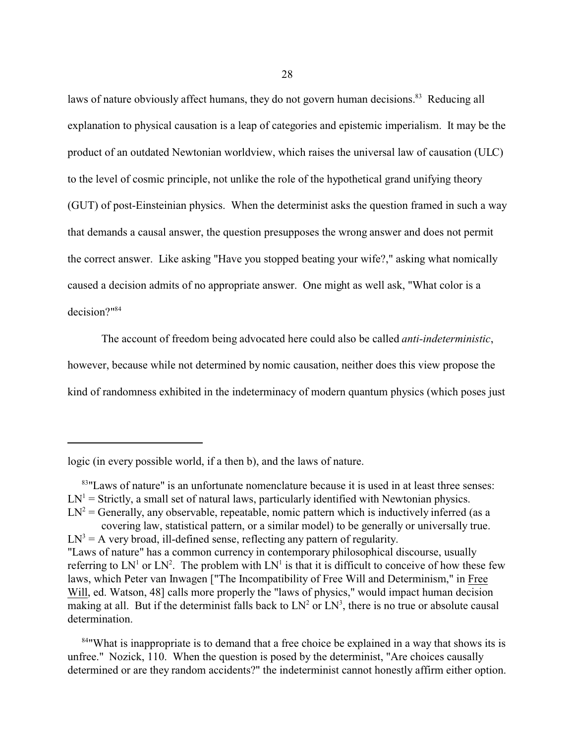laws of nature obviously affect humans, they do not govern human decisions.<sup>83</sup> Reducing all explanation to physical causation is a leap of categories and epistemic imperialism. It may be the product of an outdated Newtonian worldview, which raises the universal law of causation (ULC) to the level of cosmic principle, not unlike the role of the hypothetical grand unifying theory (GUT) of post-Einsteinian physics. When the determinist asks the question framed in such a way that demands a causal answer, the question presupposes the wrong answer and does not permit the correct answer. Like asking "Have you stopped beating your wife?," asking what nomically caused a decision admits of no appropriate answer. One might as well ask, "What color is a decision?" 84

The account of freedom being advocated here could also be called *anti-indeterministic*, however, because while not determined by nomic causation, neither does this view propose the kind of randomness exhibited in the indeterminacy of modern quantum physics (which poses just

<sup>84</sup> What is inappropriate is to demand that a free choice be explained in a way that shows its is unfree." Nozick, 110. When the question is posed by the determinist, "Are choices causally determined or are they random accidents?" the indeterminist cannot honestly affirm either option.

logic (in every possible world, if a then b), and the laws of nature.

<sup>&</sup>lt;sup>83</sup>"Laws of nature" is an unfortunate nomenclature because it is used in at least three senses:  $LN^1$  = Strictly, a small set of natural laws, particularly identified with Newtonian physics.

 $LN^2$  = Generally, any observable, repeatable, nomic pattern which is inductively inferred (as a covering law, statistical pattern, or a similar model) to be generally or universally true.

 $LN<sup>3</sup> = A$  very broad, ill-defined sense, reflecting any pattern of regularity. "Laws of nature" has a common currency in contemporary philosophical discourse, usually referring to  $LN^1$  or  $LN^2$ . The problem with  $LN^1$  is that it is difficult to conceive of how these few laws, which Peter van Inwagen ["The Incompatibility of Free Will and Determinism," in Free Will, ed. Watson, 48] calls more properly the "laws of physics," would impact human decision making at all. But if the determinist falls back to  $LN^2$  or  $LN^3$ , there is no true or absolute causal determination.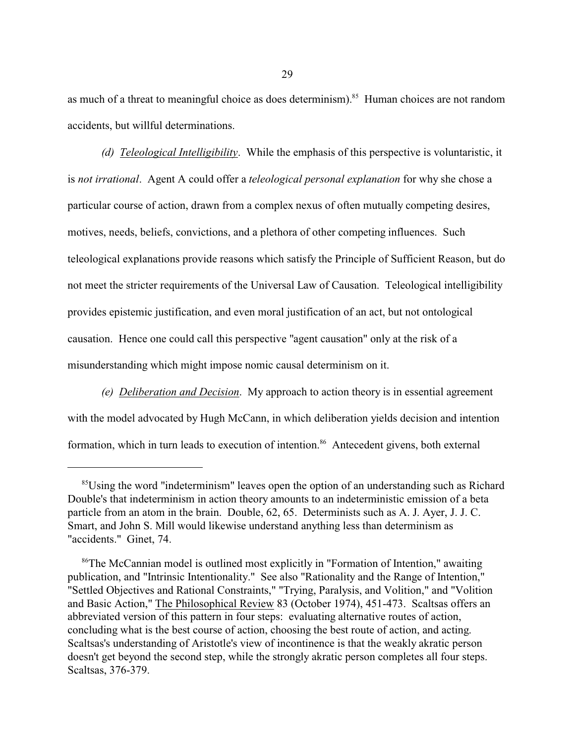as much of a threat to meaningful choice as does determinism).<sup>85</sup> Human choices are not random accidents, but willful determinations.

*(d) Teleological Intelligibility*. While the emphasis of this perspective is voluntaristic, it is *not irrational*. Agent A could offer a *teleological personal explanation* for why she chose a particular course of action, drawn from a complex nexus of often mutually competing desires, motives, needs, beliefs, convictions, and a plethora of other competing influences. Such teleological explanations provide reasons which satisfy the Principle of Sufficient Reason, but do not meet the stricter requirements of the Universal Law of Causation. Teleological intelligibility provides epistemic justification, and even moral justification of an act, but not ontological causation. Hence one could call this perspective "agent causation" only at the risk of a misunderstanding which might impose nomic causal determinism on it.

*(e) Deliberation and Decision*. My approach to action theory is in essential agreement with the model advocated by Hugh McCann, in which deliberation yields decision and intention formation, which in turn leads to execution of intention.<sup>86</sup> Antecedent givens, both external

<sup>&</sup>lt;sup>85</sup>Using the word "indeterminism" leaves open the option of an understanding such as Richard Double's that indeterminism in action theory amounts to an indeterministic emission of a beta particle from an atom in the brain. Double, 62, 65. Determinists such as A. J. Ayer, J. J. C. Smart, and John S. Mill would likewise understand anything less than determinism as "accidents." Ginet, 74.

<sup>&</sup>lt;sup>86</sup>The McCannian model is outlined most explicitly in "Formation of Intention," awaiting publication, and "Intrinsic Intentionality." See also "Rationality and the Range of Intention," "Settled Objectives and Rational Constraints," "Trying, Paralysis, and Volition," and "Volition and Basic Action," The Philosophical Review 83 (October 1974), 451-473. Scaltsas offers an abbreviated version of this pattern in four steps: evaluating alternative routes of action, concluding what is the best course of action, choosing the best route of action, and acting. Scaltsas's understanding of Aristotle's view of incontinence is that the weakly akratic person doesn't get beyond the second step, while the strongly akratic person completes all four steps. Scaltsas, 376-379.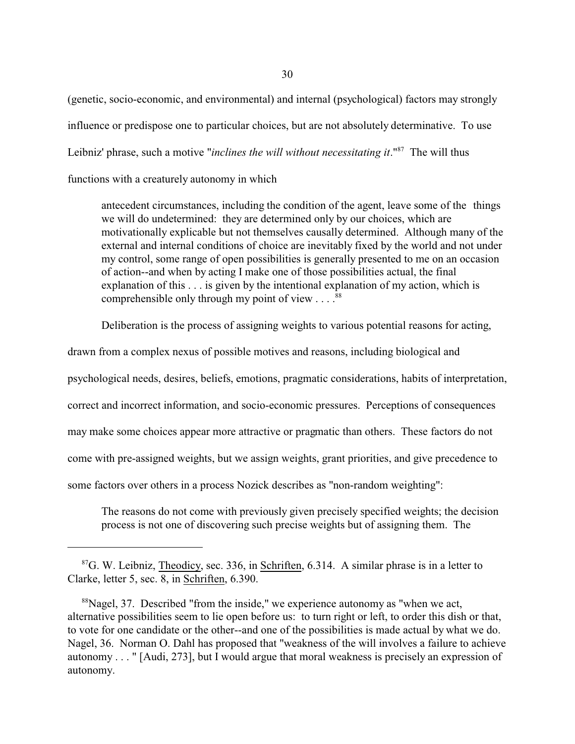(genetic, socio-economic, and environmental) and internal (psychological) factors may strongly influence or predispose one to particular choices, but are not absolutely determinative. To use Leibniz' phrase, such a motive "*inclines the will without necessitating it*."<sup>87</sup> The will thus

functions with a creaturely autonomy in which

antecedent circumstances, including the condition of the agent, leave some of the things we will do undetermined: they are determined only by our choices, which are motivationally explicable but not themselves causally determined. Although many of the external and internal conditions of choice are inevitably fixed by the world and not under my control, some range of open possibilities is generally presented to me on an occasion of action--and when by acting I make one of those possibilities actual, the final explanation of this . . . is given by the intentional explanation of my action, which is comprehensible only through my point of view  $\ldots$ .<sup>88</sup>

Deliberation is the process of assigning weights to various potential reasons for acting,

drawn from a complex nexus of possible motives and reasons, including biological and

psychological needs, desires, beliefs, emotions, pragmatic considerations, habits of interpretation,

correct and incorrect information, and socio-economic pressures. Perceptions of consequences

may make some choices appear more attractive or pragmatic than others. These factors do not

come with pre-assigned weights, but we assign weights, grant priorities, and give precedence to

some factors over others in a process Nozick describes as "non-random weighting":

The reasons do not come with previously given precisely specified weights; the decision process is not one of discovering such precise weights but of assigning them. The

 ${}^{87}$ G. W. Leibniz, Theodicy, sec. 336, in Schriften, 6.314. A similar phrase is in a letter to Clarke, letter 5, sec. 8, in Schriften, 6.390.

<sup>&</sup>lt;sup>88</sup>Nagel, 37. Described "from the inside," we experience autonomy as "when we act, alternative possibilities seem to lie open before us: to turn right or left, to order this dish or that, to vote for one candidate or the other--and one of the possibilities is made actual by what we do. Nagel, 36. Norman O. Dahl has proposed that "weakness of the will involves a failure to achieve autonomy . . . " [Audi, 273], but I would argue that moral weakness is precisely an expression of autonomy.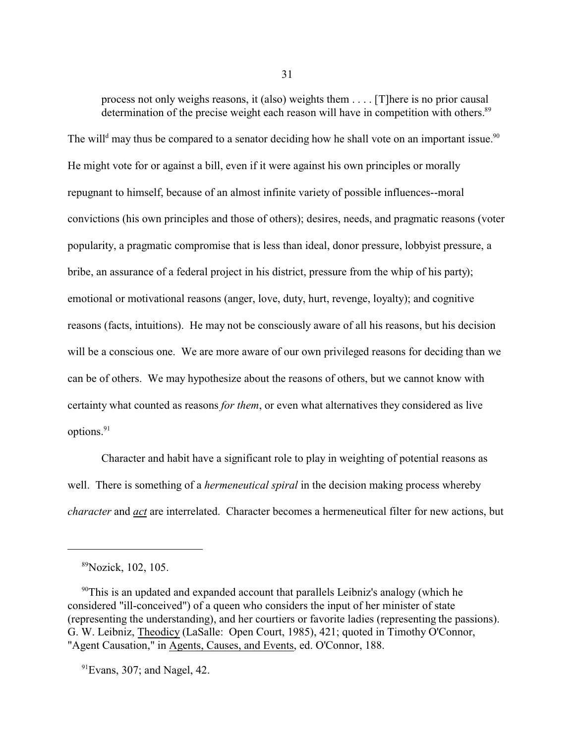process not only weighs reasons, it (also) weights them . . . . [T]here is no prior causal determination of the precise weight each reason will have in competition with others.<sup>89</sup>

The will<sup>d</sup> may thus be compared to a senator deciding how he shall vote on an important issue.<sup>90</sup> He might vote for or against a bill, even if it were against his own principles or morally repugnant to himself, because of an almost infinite variety of possible influences--moral convictions (his own principles and those of others); desires, needs, and pragmatic reasons (voter popularity, a pragmatic compromise that is less than ideal, donor pressure, lobbyist pressure, a bribe, an assurance of a federal project in his district, pressure from the whip of his party); emotional or motivational reasons (anger, love, duty, hurt, revenge, loyalty); and cognitive reasons (facts, intuitions). He may not be consciously aware of all his reasons, but his decision will be a conscious one. We are more aware of our own privileged reasons for deciding than we can be of others. We may hypothesize about the reasons of others, but we cannot know with certainty what counted as reasons *for them*, or even what alternatives they considered as live options.<sup>91</sup>

Character and habit have a significant role to play in weighting of potential reasons as well. There is something of a *hermeneutical spiral* in the decision making process whereby *character* and *act* are interrelated. Character becomes a hermeneutical filter for new actions, but

<sup>89</sup>Nozick, 102, 105.

<sup>&</sup>lt;sup>90</sup>This is an updated and expanded account that parallels Leibniz's analogy (which he considered "ill-conceived") of a queen who considers the input of her minister of state (representing the understanding), and her courtiers or favorite ladies (representing the passions). G. W. Leibniz, Theodicy (LaSalle: Open Court, 1985), 421; quoted in Timothy O'Connor, "Agent Causation," in Agents, Causes, and Events, ed. O'Connor, 188.

 $91$ Evans, 307; and Nagel, 42.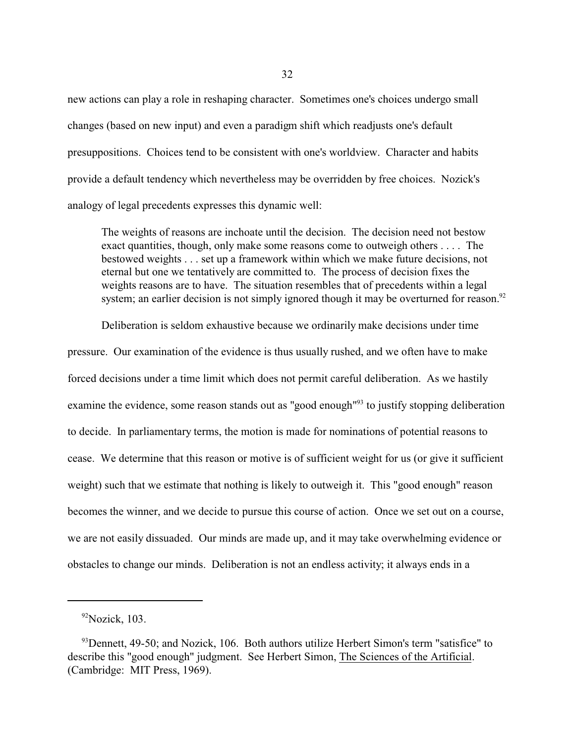new actions can play a role in reshaping character. Sometimes one's choices undergo small changes (based on new input) and even a paradigm shift which readjusts one's default presuppositions. Choices tend to be consistent with one's worldview. Character and habits provide a default tendency which nevertheless may be overridden by free choices. Nozick's analogy of legal precedents expresses this dynamic well:

The weights of reasons are inchoate until the decision. The decision need not bestow exact quantities, though, only make some reasons come to outweigh others . . . . The bestowed weights . . . set up a framework within which we make future decisions, not eternal but one we tentatively are committed to. The process of decision fixes the weights reasons are to have. The situation resembles that of precedents within a legal system; an earlier decision is not simply ignored though it may be overturned for reason.<sup>92</sup>

Deliberation is seldom exhaustive because we ordinarily make decisions under time pressure. Our examination of the evidence is thus usually rushed, and we often have to make forced decisions under a time limit which does not permit careful deliberation. As we hastily examine the evidence, some reason stands out as "good enough"<sup>93</sup> to justify stopping deliberation to decide. In parliamentary terms, the motion is made for nominations of potential reasons to cease. We determine that this reason or motive is of sufficient weight for us (or give it sufficient weight) such that we estimate that nothing is likely to outweigh it. This "good enough" reason becomes the winner, and we decide to pursue this course of action. Once we set out on a course, we are not easily dissuaded. Our minds are made up, and it may take overwhelming evidence or obstacles to change our minds. Deliberation is not an endless activity; it always ends in a

 $92$ Nozick, 103.

 $93$  Dennett, 49-50; and Nozick, 106. Both authors utilize Herbert Simon's term "satisfice" to describe this "good enough" judgment. See Herbert Simon, The Sciences of the Artificial. (Cambridge: MIT Press, 1969).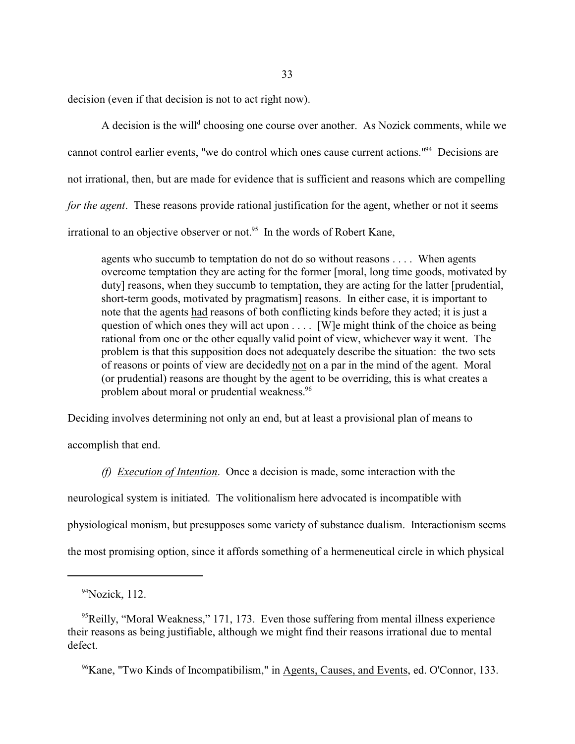decision (even if that decision is not to act right now).

A decision is the will<sup>d</sup> choosing one course over another. As Nozick comments, while we cannot control earlier events, "we do control which ones cause current actions."<sup>94</sup> Decisions are not irrational, then, but are made for evidence that is sufficient and reasons which are compelling *for the agent*. These reasons provide rational justification for the agent, whether or not it seems irrational to an objective observer or not.<sup>95</sup> In the words of Robert Kane,

agents who succumb to temptation do not do so without reasons . . . . When agents overcome temptation they are acting for the former [moral, long time goods, motivated by duty] reasons, when they succumb to temptation, they are acting for the latter [prudential, short-term goods, motivated by pragmatism] reasons. In either case, it is important to note that the agents had reasons of both conflicting kinds before they acted; it is just a question of which ones they will act upon . . . . [W]e might think of the choice as being rational from one or the other equally valid point of view, whichever way it went. The problem is that this supposition does not adequately describe the situation: the two sets of reasons or points of view are decidedly not on a par in the mind of the agent. Moral (or prudential) reasons are thought by the agent to be overriding, this is what creates a problem about moral or prudential weakness.<sup>96</sup>

Deciding involves determining not only an end, but at least a provisional plan of means to

accomplish that end.

*(f) Execution of Intention*. Once a decision is made, some interaction with the neurological system is initiated. The volitionalism here advocated is incompatible with physiological monism, but presupposes some variety of substance dualism. Interactionism seems the most promising option, since it affords something of a hermeneutical circle in which physical

96Kane, "Two Kinds of Incompatibilism," in Agents, Causes, and Events, ed. O'Connor, 133.

 $94$ Nozick, 112.

 $<sup>95</sup>$ Reilly, "Moral Weakness," 171, 173. Even those suffering from mental illness experience</sup> their reasons as being justifiable, although we might find their reasons irrational due to mental defect.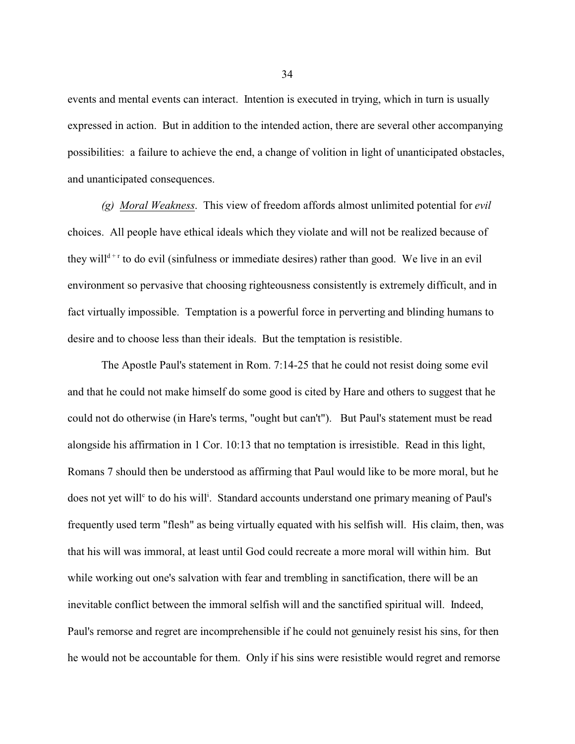events and mental events can interact. Intention is executed in trying, which in turn is usually expressed in action. But in addition to the intended action, there are several other accompanying possibilities: a failure to achieve the end, a change of volition in light of unanticipated obstacles, and unanticipated consequences.

*(g) Moral Weakness*. This view of freedom affords almost unlimited potential for *evil* choices. All people have ethical ideals which they violate and will not be realized because of they will<sup>d+r</sup> to do evil (sinfulness or immediate desires) rather than good. We live in an evil environment so pervasive that choosing righteousness consistently is extremely difficult, and in fact virtually impossible. Temptation is a powerful force in perverting and blinding humans to desire and to choose less than their ideals. But the temptation is resistible.

The Apostle Paul's statement in Rom. 7:14-25 that he could not resist doing some evil and that he could not make himself do some good is cited by Hare and others to suggest that he could not do otherwise (in Hare's terms, "ought but can't"). But Paul's statement must be read alongside his affirmation in 1 Cor. 10:13 that no temptation is irresistible. Read in this light, Romans 7 should then be understood as affirming that Paul would like to be more moral, but he does not yet will<sup>c</sup> to do his will<sup>i</sup>. Standard accounts understand one primary meaning of Paul's frequently used term "flesh" as being virtually equated with his selfish will. His claim, then, was that his will was immoral, at least until God could recreate a more moral will within him. But while working out one's salvation with fear and trembling in sanctification, there will be an inevitable conflict between the immoral selfish will and the sanctified spiritual will. Indeed, Paul's remorse and regret are incomprehensible if he could not genuinely resist his sins, for then he would not be accountable for them. Only if his sins were resistible would regret and remorse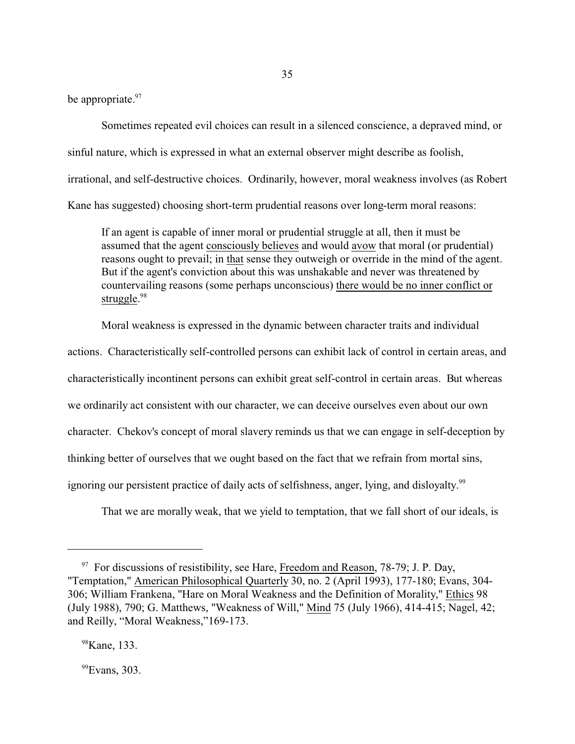be appropriate.<sup>97</sup>

Sometimes repeated evil choices can result in a silenced conscience, a depraved mind, or sinful nature, which is expressed in what an external observer might describe as foolish, irrational, and self-destructive choices. Ordinarily, however, moral weakness involves (as Robert Kane has suggested) choosing short-term prudential reasons over long-term moral reasons:

If an agent is capable of inner moral or prudential struggle at all, then it must be assumed that the agent consciously believes and would avow that moral (or prudential) reasons ought to prevail; in that sense they outweigh or override in the mind of the agent. But if the agent's conviction about this was unshakable and never was threatened by countervailing reasons (some perhaps unconscious) there would be no inner conflict or struggle.<sup>98</sup>

Moral weakness is expressed in the dynamic between character traits and individual

actions. Characteristically self-controlled persons can exhibit lack of control in certain areas, and characteristically incontinent persons can exhibit great self-control in certain areas. But whereas we ordinarily act consistent with our character, we can deceive ourselves even about our own character. Chekov's concept of moral slavery reminds us that we can engage in self-deception by thinking better of ourselves that we ought based on the fact that we refrain from mortal sins, ignoring our persistent practice of daily acts of selfishness, anger, lying, and disloyalty.<sup>99</sup>

That we are morally weak, that we yield to temptation, that we fall short of our ideals, is

<sup>99</sup>Evans, 303.

<sup>&</sup>lt;sup>97</sup> For discussions of resistibility, see Hare, Freedom and Reason, 78-79; J. P. Day, "Temptation," American Philosophical Quarterly 30, no. 2 (April 1993), 177-180; Evans, 304- 306; William Frankena, "Hare on Moral Weakness and the Definition of Morality," Ethics 98 (July 1988), 790; G. Matthews, "Weakness of Will," Mind 75 (July 1966), 414-415; Nagel, 42; and Reilly, "Moral Weakness,"169-173.

<sup>&</sup>lt;sup>98</sup>Kane, 133.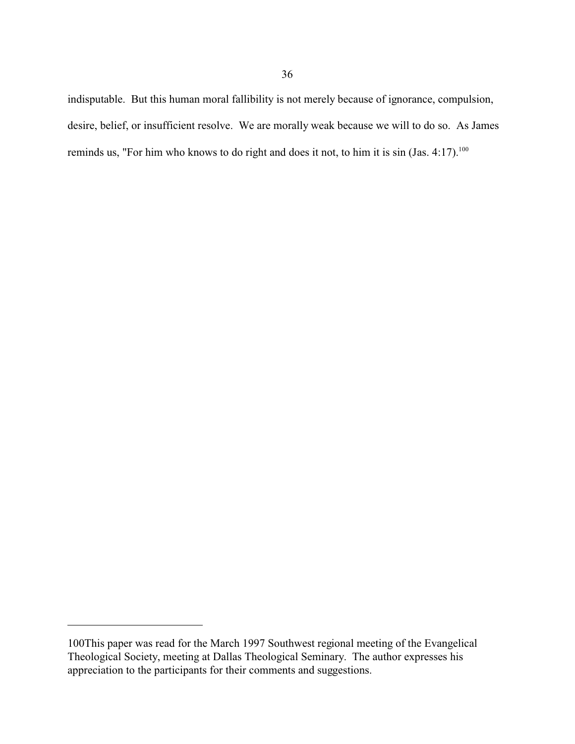indisputable. But this human moral fallibility is not merely because of ignorance, compulsion, desire, belief, or insufficient resolve. We are morally weak because we will to do so. As James reminds us, "For him who knows to do right and does it not, to him it is  $sin(jas. 4:17).<sup>100</sup>$ 

<sup>100</sup>This paper was read for the March 1997 Southwest regional meeting of the Evangelical Theological Society, meeting at Dallas Theological Seminary. The author expresses his appreciation to the participants for their comments and suggestions.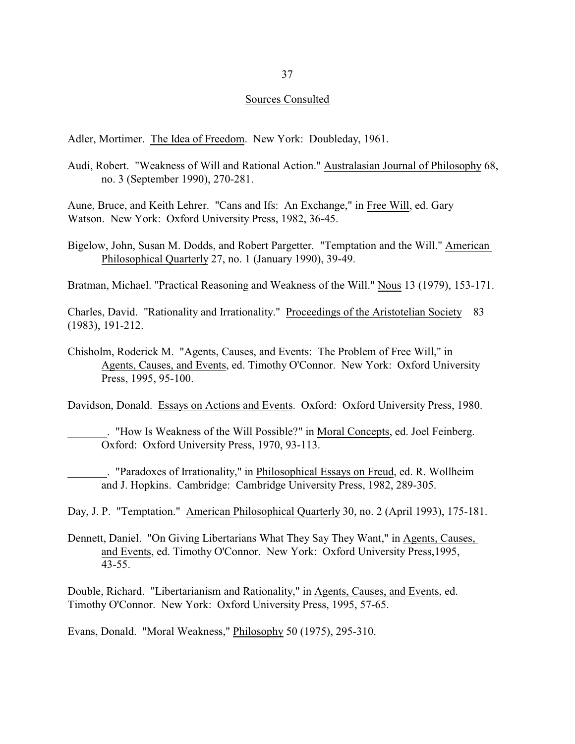#### Sources Consulted

Adler, Mortimer. The Idea of Freedom. New York: Doubleday, 1961.

Audi, Robert. "Weakness of Will and Rational Action." Australasian Journal of Philosophy 68, no. 3 (September 1990), 270-281.

Aune, Bruce, and Keith Lehrer. "Cans and Ifs: An Exchange," in Free Will, ed. Gary Watson. New York: Oxford University Press, 1982, 36-45.

Bigelow, John, Susan M. Dodds, and Robert Pargetter. "Temptation and the Will." American Philosophical Quarterly 27, no. 1 (January 1990), 39-49.

Bratman, Michael. "Practical Reasoning and Weakness of the Will." Nous 13 (1979), 153-171.

Charles, David. "Rationality and Irrationality." Proceedings of the Aristotelian Society 83 (1983), 191-212.

Chisholm, Roderick M. "Agents, Causes, and Events: The Problem of Free Will," in Agents, Causes, and Events, ed. Timothy O'Connor. New York: Oxford University Press, 1995, 95-100.

Davidson, Donald. Essays on Actions and Events. Oxford: Oxford University Press, 1980.

\_\_\_\_\_\_\_. "How Is Weakness of the Will Possible?" in Moral Concepts, ed. Joel Feinberg. Oxford: Oxford University Press, 1970, 93-113.

\_\_\_\_\_\_\_. "Paradoxes of Irrationality," in Philosophical Essays on Freud, ed. R. Wollheim and J. Hopkins. Cambridge: Cambridge University Press, 1982, 289-305.

Day, J. P. "Temptation." American Philosophical Quarterly 30, no. 2 (April 1993), 175-181.

Dennett, Daniel. "On Giving Libertarians What They Say They Want," in Agents, Causes, and Events, ed. Timothy O'Connor. New York: Oxford University Press,1995, 43-55.

Double, Richard. "Libertarianism and Rationality," in Agents, Causes, and Events, ed. Timothy O'Connor. New York: Oxford University Press, 1995, 57-65.

Evans, Donald. "Moral Weakness," Philosophy 50 (1975), 295-310.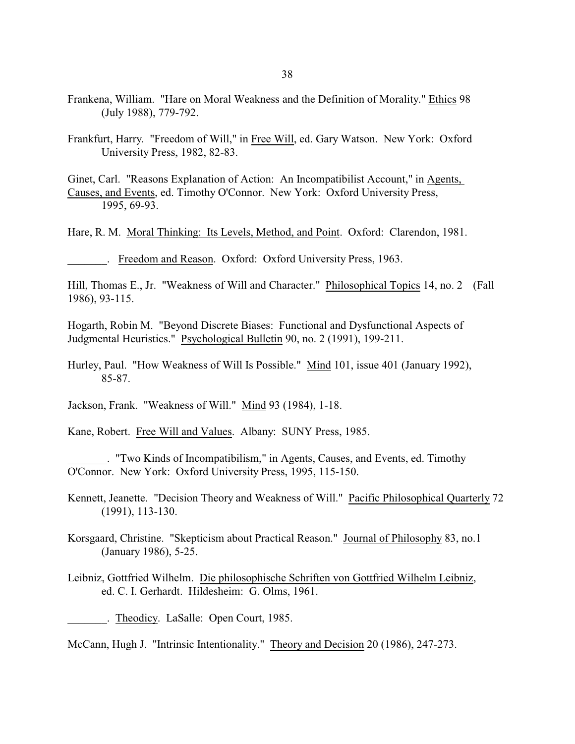- Frankena, William. "Hare on Moral Weakness and the Definition of Morality." Ethics 98 (July 1988), 779-792.
- Frankfurt, Harry. "Freedom of Will," in Free Will, ed. Gary Watson. New York: Oxford University Press, 1982, 82-83.

Ginet, Carl. "Reasons Explanation of Action: An Incompatibilist Account," in Agents, Causes, and Events, ed. Timothy O'Connor. New York: Oxford University Press, 1995, 69-93.

Hare, R. M. Moral Thinking: Its Levels, Method, and Point. Oxford: Clarendon, 1981.

. Freedom and Reason. Oxford: Oxford University Press, 1963.

Hill, Thomas E., Jr. "Weakness of Will and Character." Philosophical Topics 14, no. 2 (Fall 1986), 93-115.

Hogarth, Robin M. "Beyond Discrete Biases: Functional and Dysfunctional Aspects of Judgmental Heuristics." Psychological Bulletin 90, no. 2 (1991), 199-211.

Hurley, Paul. "How Weakness of Will Is Possible." Mind 101, issue 401 (January 1992), 85-87.

Jackson, Frank. "Weakness of Will." Mind 93 (1984), 1-18.

Kane, Robert. Free Will and Values. Albany: SUNY Press, 1985.

\_\_\_\_\_\_\_. "Two Kinds of Incompatibilism," in Agents, Causes, and Events, ed. Timothy O'Connor. New York: Oxford University Press, 1995, 115-150.

- Kennett, Jeanette. "Decision Theory and Weakness of Will." Pacific Philosophical Quarterly 72 (1991), 113-130.
- Korsgaard, Christine. "Skepticism about Practical Reason." Journal of Philosophy 83, no.1 (January 1986), 5-25.
- Leibniz, Gottfried Wilhelm. Die philosophische Schriften von Gottfried Wilhelm Leibniz, ed. C. I. Gerhardt. Hildesheim: G. Olms, 1961.

\_\_\_\_\_\_\_. Theodicy. LaSalle: Open Court, 1985.

McCann, Hugh J. "Intrinsic Intentionality." Theory and Decision 20 (1986), 247-273.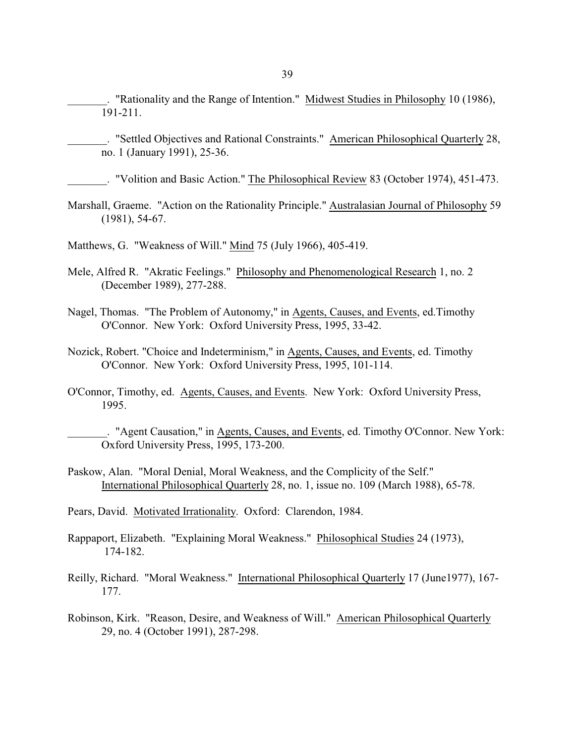. "Rationality and the Range of Intention." Midwest Studies in Philosophy 10 (1986), 191-211.

. "Settled Objectives and Rational Constraints." American Philosophical Quarterly 28, no. 1 (January 1991), 25-36.

\_\_\_\_\_\_\_. "Volition and Basic Action." The Philosophical Review 83 (October 1974), 451-473.

Marshall, Graeme. "Action on the Rationality Principle." Australasian Journal of Philosophy 59 (1981), 54-67.

Matthews, G. "Weakness of Will." Mind 75 (July 1966), 405-419.

- Mele, Alfred R. "Akratic Feelings." Philosophy and Phenomenological Research 1, no. 2 (December 1989), 277-288.
- Nagel, Thomas. "The Problem of Autonomy," in Agents, Causes, and Events, ed.Timothy O'Connor. New York: Oxford University Press, 1995, 33-42.
- Nozick, Robert. "Choice and Indeterminism," in Agents, Causes, and Events, ed. Timothy O'Connor. New York: Oxford University Press, 1995, 101-114.
- O'Connor, Timothy, ed. Agents, Causes, and Events. New York: Oxford University Press, 1995.

\_\_\_\_\_\_\_. "Agent Causation," in Agents, Causes, and Events, ed. Timothy O'Connor. New York: Oxford University Press, 1995, 173-200.

Paskow, Alan. "Moral Denial, Moral Weakness, and the Complicity of the Self." International Philosophical Quarterly 28, no. 1, issue no. 109 (March 1988), 65-78.

Pears, David. Motivated Irrationality. Oxford: Clarendon, 1984.

Rappaport, Elizabeth. "Explaining Moral Weakness." Philosophical Studies 24 (1973), 174-182.

Reilly, Richard. "Moral Weakness." International Philosophical Quarterly 17 (June1977), 167- 177.

Robinson, Kirk. "Reason, Desire, and Weakness of Will." American Philosophical Quarterly 29, no. 4 (October 1991), 287-298.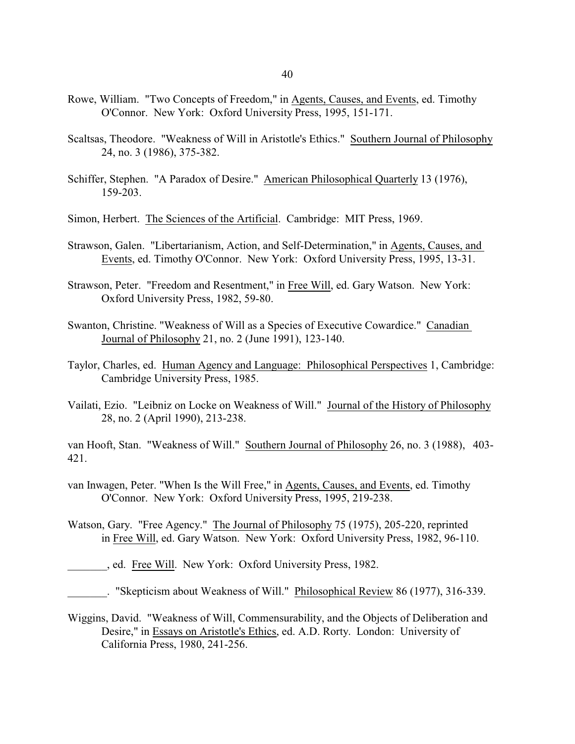- Rowe, William. "Two Concepts of Freedom," in Agents, Causes, and Events, ed. Timothy O'Connor. New York: Oxford University Press, 1995, 151-171.
- Scaltsas, Theodore. "Weakness of Will in Aristotle's Ethics." Southern Journal of Philosophy 24, no. 3 (1986), 375-382.
- Schiffer, Stephen. "A Paradox of Desire." American Philosophical Quarterly 13 (1976), 159-203.
- Simon, Herbert. The Sciences of the Artificial. Cambridge: MIT Press, 1969.
- Strawson, Galen. "Libertarianism, Action, and Self-Determination," in Agents, Causes, and Events, ed. Timothy O'Connor. New York: Oxford University Press, 1995, 13-31.
- Strawson, Peter. "Freedom and Resentment," in Free Will, ed. Gary Watson. New York: Oxford University Press, 1982, 59-80.
- Swanton, Christine. "Weakness of Will as a Species of Executive Cowardice." Canadian Journal of Philosophy 21, no. 2 (June 1991), 123-140.
- Taylor, Charles, ed. Human Agency and Language: Philosophical Perspectives 1, Cambridge: Cambridge University Press, 1985.
- Vailati, Ezio. "Leibniz on Locke on Weakness of Will." Journal of the History of Philosophy 28, no. 2 (April 1990), 213-238.

van Hooft, Stan. "Weakness of Will." Southern Journal of Philosophy 26, no. 3 (1988), 403- 421.

- van Inwagen, Peter. "When Is the Will Free," in Agents, Causes, and Events, ed. Timothy O'Connor. New York: Oxford University Press, 1995, 219-238.
- Watson, Gary. "Free Agency." The Journal of Philosophy 75 (1975), 205-220, reprinted in Free Will, ed. Gary Watson. New York: Oxford University Press, 1982, 96-110.
- \_\_\_\_\_\_\_, ed. Free Will. New York: Oxford University Press, 1982.
- . "Skepticism about Weakness of Will." Philosophical Review 86 (1977), 316-339.
- Wiggins, David. "Weakness of Will, Commensurability, and the Objects of Deliberation and Desire," in Essays on Aristotle's Ethics, ed. A.D. Rorty. London: University of California Press, 1980, 241-256.